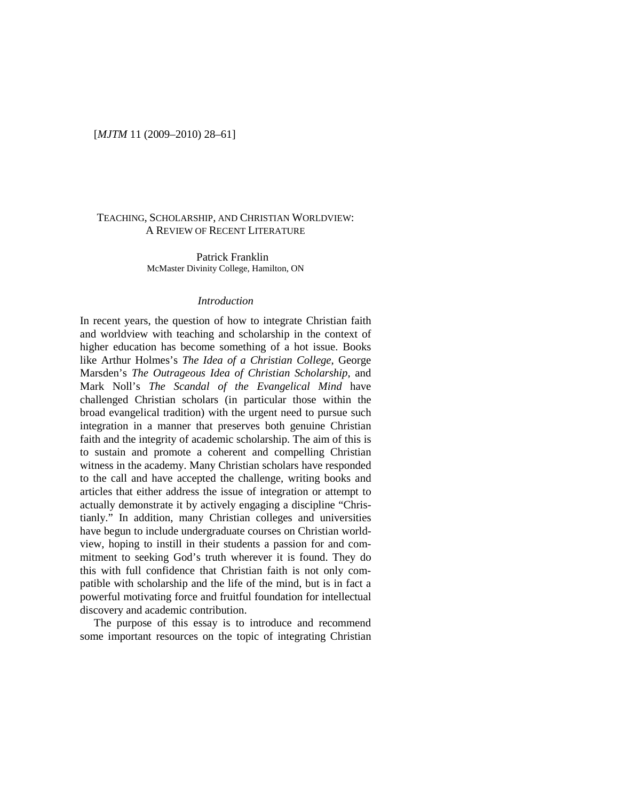### [*MJTM* 11 (2009–2010) 28–61]

## TEACHING, SCHOLARSHIP, AND CHRISTIAN WORLDVIEW: A REVIEW OF RECENT LITERATURE

Patrick Franklin McMaster Divinity College, Hamilton, ON

### *Introduction*

In recent years, the question of how to integrate Christian faith and worldview with teaching and scholarship in the context of higher education has become something of a hot issue. Books like Arthur Holmes's *The Idea of a Christian College*, George Marsden's *The Outrageous Idea of Christian Scholarship*, and Mark Noll's *The Scandal of the Evangelical Mind* have challenged Christian scholars (in particular those within the broad evangelical tradition) with the urgent need to pursue such integration in a manner that preserves both genuine Christian faith and the integrity of academic scholarship. The aim of this is to sustain and promote a coherent and compelling Christian witness in the academy. Many Christian scholars have responded to the call and have accepted the challenge, writing books and articles that either address the issue of integration or attempt to actually demonstrate it by actively engaging a discipline "Christianly." In addition, many Christian colleges and universities have begun to include undergraduate courses on Christian worldview, hoping to instill in their students a passion for and commitment to seeking God's truth wherever it is found. They do this with full confidence that Christian faith is not only compatible with scholarship and the life of the mind, but is in fact a powerful motivating force and fruitful foundation for intellectual discovery and academic contribution.

The purpose of this essay is to introduce and recommend some important resources on the topic of integrating Christian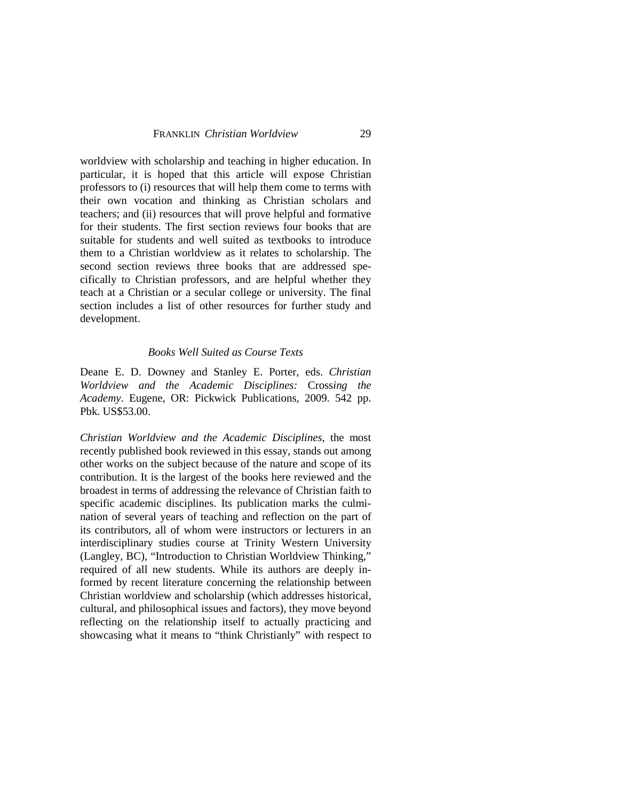worldview with scholarship and teaching in higher education. In particular, it is hoped that this article will expose Christian professors to (i) resources that will help them come to terms with their own vocation and thinking as Christian scholars and teachers; and (ii) resources that will prove helpful and formative for their students. The first section reviews four books that are suitable for students and well suited as textbooks to introduce them to a Christian worldview as it relates to scholarship. The second section reviews three books that are addressed specifically to Christian professors, and are helpful whether they teach at a Christian or a secular college or university. The final section includes a list of other resources for further study and development.

### *Books Well Suited as Course Texts*

Deane E. D. Downey and Stanley E. Porter, eds. *Christian Worldview and the Academic Disciplines:* Cross*ing the Academy*. Eugene, OR: Pickwick Publications, 2009. 542 pp. Pbk. US\$53.00.

*Christian Worldview and the Academic Disciplines*, the most recently published book reviewed in this essay, stands out among other works on the subject because of the nature and scope of its contribution. It is the largest of the books here reviewed and the broadest in terms of addressing the relevance of Christian faith to specific academic disciplines. Its publication marks the culmination of several years of teaching and reflection on the part of its contributors, all of whom were instructors or lecturers in an interdisciplinary studies course at Trinity Western University (Langley, BC), "Introduction to Christian Worldview Thinking," required of all new students. While its authors are deeply informed by recent literature concerning the relationship between Christian worldview and scholarship (which addresses historical, cultural, and philosophical issues and factors), they move beyond reflecting on the relationship itself to actually practicing and showcasing what it means to "think Christianly" with respect to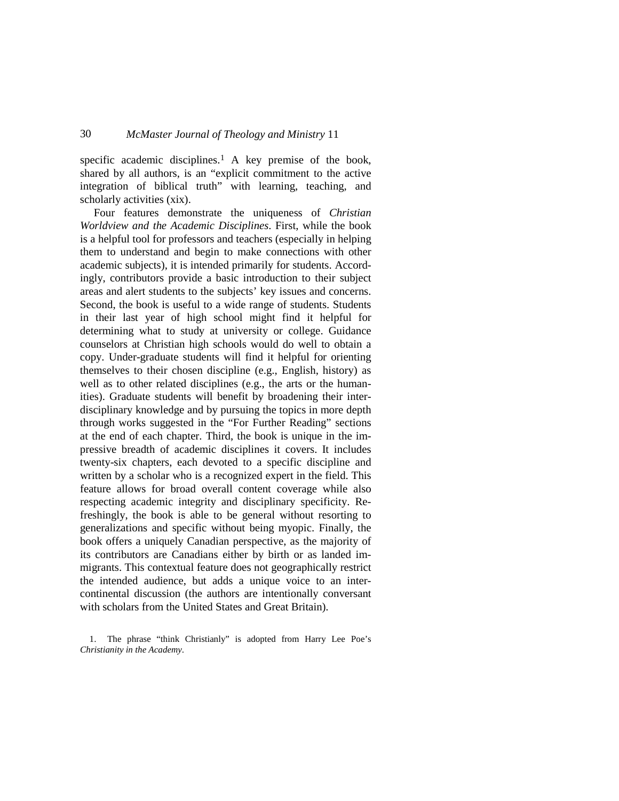specific academic disciplines.<sup>[1](#page-2-0)</sup> A key premise of the book, shared by all authors, is an "explicit commitment to the active integration of biblical truth" with learning, teaching, and scholarly activities (xix).

Four features demonstrate the uniqueness of *Christian Worldview and the Academic Disciplines*. First, while the book is a helpful tool for professors and teachers (especially in helping them to understand and begin to make connections with other academic subjects), it is intended primarily for students. Accordingly, contributors provide a basic introduction to their subject areas and alert students to the subjects' key issues and concerns. Second, the book is useful to a wide range of students. Students in their last year of high school might find it helpful for determining what to study at university or college. Guidance counselors at Christian high schools would do well to obtain a copy. Under-graduate students will find it helpful for orienting themselves to their chosen discipline (e.g., English, history) as well as to other related disciplines (e.g., the arts or the humanities). Graduate students will benefit by broadening their interdisciplinary knowledge and by pursuing the topics in more depth through works suggested in the "For Further Reading" sections at the end of each chapter. Third, the book is unique in the impressive breadth of academic disciplines it covers. It includes twenty-six chapters, each devoted to a specific discipline and written by a scholar who is a recognized expert in the field. This feature allows for broad overall content coverage while also respecting academic integrity and disciplinary specificity. Refreshingly, the book is able to be general without resorting to generalizations and specific without being myopic. Finally, the book offers a uniquely Canadian perspective, as the majority of its contributors are Canadians either by birth or as landed immigrants. This contextual feature does not geographically restrict the intended audience, but adds a unique voice to an intercontinental discussion (the authors are intentionally conversant with scholars from the United States and Great Britain).

<span id="page-2-0"></span><sup>1.</sup> The phrase "think Christianly" is adopted from Harry Lee Poe's *Christianity in the Academy*.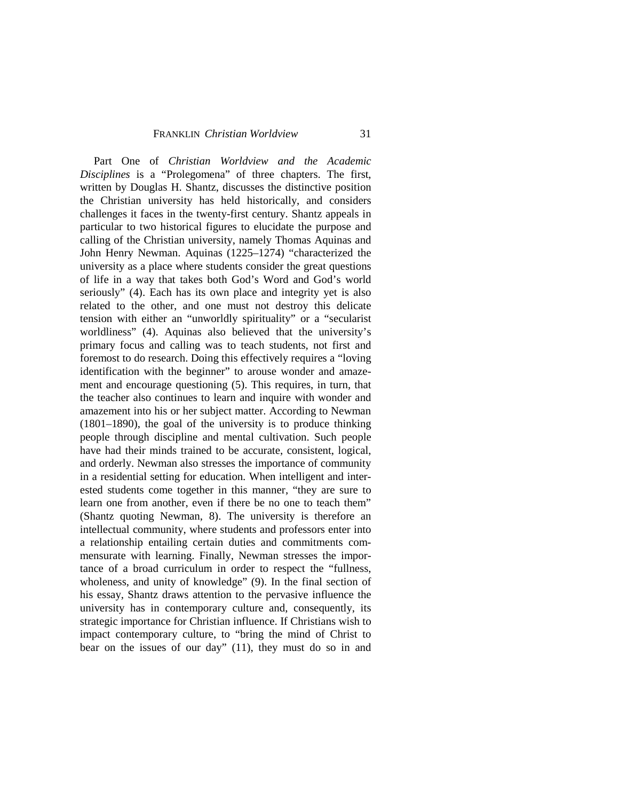### FRANKLIN *Christian Worldview* 31

Part One of *Christian Worldview and the Academic Disciplines* is a "Prolegomena" of three chapters. The first, written by Douglas H. Shantz, discusses the distinctive position the Christian university has held historically, and considers challenges it faces in the twenty-first century. Shantz appeals in particular to two historical figures to elucidate the purpose and calling of the Christian university, namely Thomas Aquinas and John Henry Newman. Aquinas (1225–1274) "characterized the university as a place where students consider the great questions of life in a way that takes both God's Word and God's world seriously" (4). Each has its own place and integrity yet is also related to the other, and one must not destroy this delicate tension with either an "unworldly spirituality" or a "secularist worldliness" (4). Aquinas also believed that the university's primary focus and calling was to teach students, not first and foremost to do research. Doing this effectively requires a "loving identification with the beginner" to arouse wonder and amazement and encourage questioning (5). This requires, in turn, that the teacher also continues to learn and inquire with wonder and amazement into his or her subject matter. According to Newman (1801–1890), the goal of the university is to produce thinking people through discipline and mental cultivation. Such people have had their minds trained to be accurate, consistent, logical, and orderly. Newman also stresses the importance of community in a residential setting for education. When intelligent and interested students come together in this manner, "they are sure to learn one from another, even if there be no one to teach them" (Shantz quoting Newman, 8). The university is therefore an intellectual community, where students and professors enter into a relationship entailing certain duties and commitments commensurate with learning. Finally, Newman stresses the importance of a broad curriculum in order to respect the "fullness, wholeness, and unity of knowledge" (9). In the final section of his essay, Shantz draws attention to the pervasive influence the university has in contemporary culture and, consequently, its strategic importance for Christian influence. If Christians wish to impact contemporary culture, to "bring the mind of Christ to bear on the issues of our day" (11), they must do so in and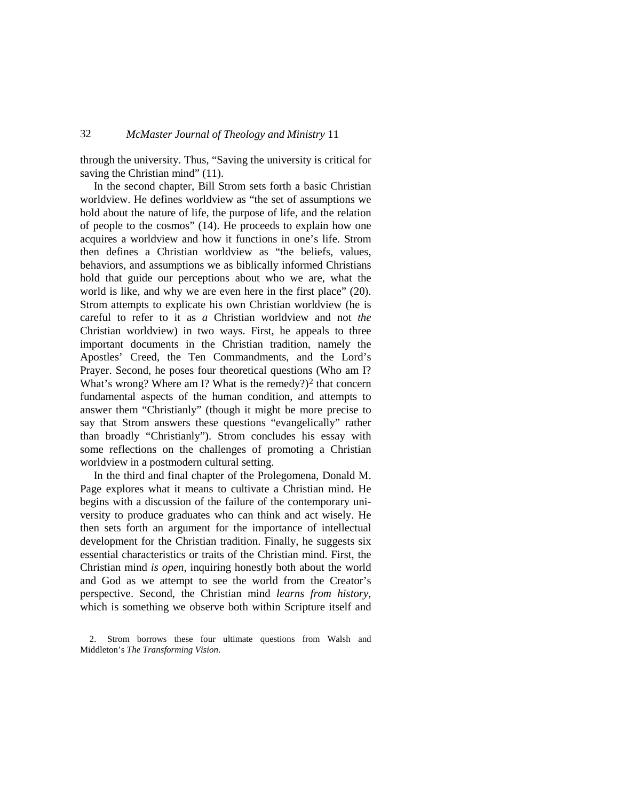through the university. Thus, "Saving the university is critical for saving the Christian mind" (11).

In the second chapter, Bill Strom sets forth a basic Christian worldview. He defines worldview as "the set of assumptions we hold about the nature of life, the purpose of life, and the relation of people to the cosmos" (14). He proceeds to explain how one acquires a worldview and how it functions in one's life. Strom then defines a Christian worldview as "the beliefs, values, behaviors, and assumptions we as biblically informed Christians hold that guide our perceptions about who we are, what the world is like, and why we are even here in the first place" (20). Strom attempts to explicate his own Christian worldview (he is careful to refer to it as *a* Christian worldview and not *the* Christian worldview) in two ways. First, he appeals to three important documents in the Christian tradition, namely the Apostles' Creed, the Ten Commandments, and the Lord's Prayer. Second, he poses four theoretical questions (Who am I? What's wrong? Where am I? What is the remedy? $)$ <sup>[2](#page-4-0)</sup> that concern fundamental aspects of the human condition, and attempts to answer them "Christianly" (though it might be more precise to say that Strom answers these questions "evangelically" rather than broadly "Christianly"). Strom concludes his essay with some reflections on the challenges of promoting a Christian worldview in a postmodern cultural setting.

In the third and final chapter of the Prolegomena, Donald M. Page explores what it means to cultivate a Christian mind. He begins with a discussion of the failure of the contemporary university to produce graduates who can think and act wisely. He then sets forth an argument for the importance of intellectual development for the Christian tradition. Finally, he suggests six essential characteristics or traits of the Christian mind. First, the Christian mind *is open*, inquiring honestly both about the world and God as we attempt to see the world from the Creator's perspective. Second, the Christian mind *learns from history*, which is something we observe both within Scripture itself and

<span id="page-4-0"></span>2. Strom borrows these four ultimate questions from Walsh and Middleton's *The Transforming Vision*.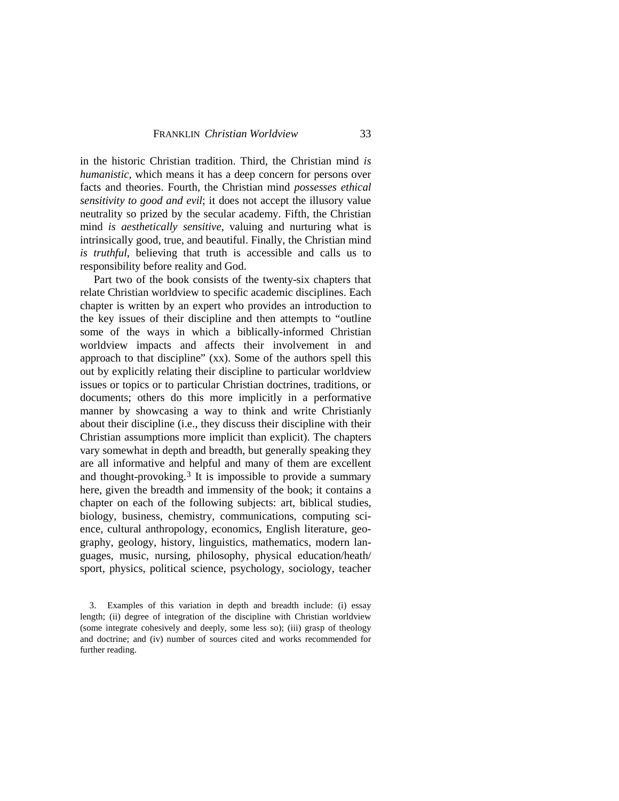in the historic Christian tradition. Third, the Christian mind *is humanistic*, which means it has a deep concern for persons over facts and theories. Fourth, the Christian mind *possesses ethical sensitivity to good and evil*; it does not accept the illusory value neutrality so prized by the secular academy. Fifth, the Christian mind *is aesthetically sensitive*, valuing and nurturing what is intrinsically good, true, and beautiful. Finally, the Christian mind *is truthful*, believing that truth is accessible and calls us to responsibility before reality and God.

Part two of the book consists of the twenty-six chapters that relate Christian worldview to specific academic disciplines. Each chapter is written by an expert who provides an introduction to the key issues of their discipline and then attempts to "outline some of the ways in which a biblically-informed Christian worldview impacts and affects their involvement in and approach to that discipline" (xx). Some of the authors spell this out by explicitly relating their discipline to particular worldview issues or topics or to particular Christian doctrines, traditions, or documents; others do this more implicitly in a performative manner by showcasing a way to think and write Christianly about their discipline (i.e., they discuss their discipline with their Christian assumptions more implicit than explicit). The chapters vary somewhat in depth and breadth, but generally speaking they are all informative and helpful and many of them are excellent and thought-provoking.<sup>[3](#page-5-0)</sup> It is impossible to provide a summary here, given the breadth and immensity of the book; it contains a chapter on each of the following subjects: art, biblical studies, biology, business, chemistry, communications, computing science, cultural anthropology, economics, English literature, geography, geology, history, linguistics, mathematics, modern languages, music, nursing, philosophy, physical education/heath/ sport, physics, political science, psychology, sociology, teacher

<span id="page-5-0"></span><sup>3.</sup> Examples of this variation in depth and breadth include: (i) essay length; (ii) degree of integration of the discipline with Christian worldview (some integrate cohesively and deeply, some less so); (iii) grasp of theology and doctrine; and (iv) number of sources cited and works recommended for further reading.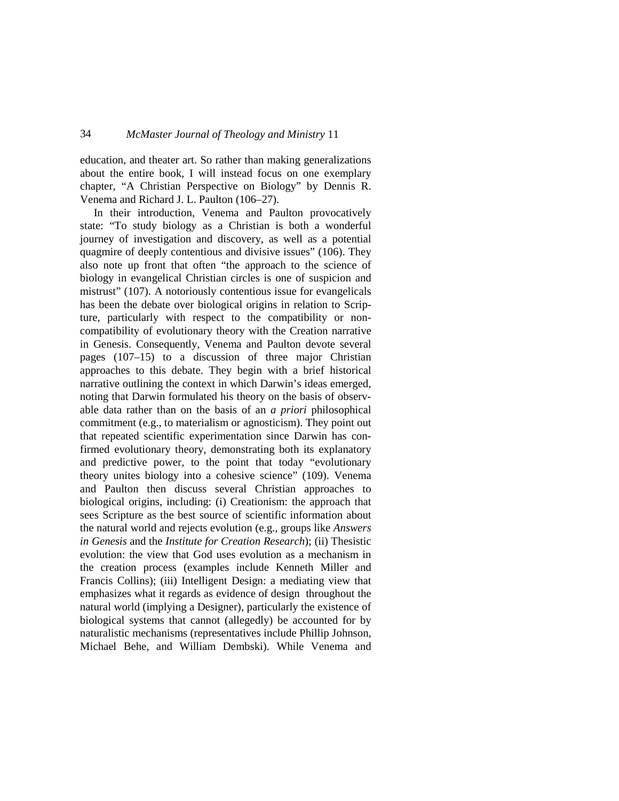education, and theater art. So rather than making generalizations about the entire book, I will instead focus on one exemplary chapter, "A Christian Perspective on Biology" by Dennis R. Venema and Richard J. L. Paulton (106–27).

In their introduction, Venema and Paulton provocatively state: "To study biology as a Christian is both a wonderful journey of investigation and discovery, as well as a potential quagmire of deeply contentious and divisive issues" (106). They also note up front that often "the approach to the science of biology in evangelical Christian circles is one of suspicion and mistrust" (107). A notoriously contentious issue for evangelicals has been the debate over biological origins in relation to Scripture, particularly with respect to the compatibility or noncompatibility of evolutionary theory with the Creation narrative in Genesis. Consequently, Venema and Paulton devote several pages (107–15) to a discussion of three major Christian approaches to this debate. They begin with a brief historical narrative outlining the context in which Darwin's ideas emerged, noting that Darwin formulated his theory on the basis of observable data rather than on the basis of an *a priori* philosophical commitment (e.g., to materialism or agnosticism). They point out that repeated scientific experimentation since Darwin has confirmed evolutionary theory, demonstrating both its explanatory and predictive power, to the point that today "evolutionary theory unites biology into a cohesive science" (109). Venema and Paulton then discuss several Christian approaches to biological origins, including: (i) Creationism: the approach that sees Scripture as the best source of scientific information about the natural world and rejects evolution (e.g., groups like *Answers in Genesis* and the *Institute for Creation Research*); (ii) Thesistic evolution: the view that God uses evolution as a mechanism in the creation process (examples include Kenneth Miller and Francis Collins); (iii) Intelligent Design: a mediating view that emphasizes what it regards as evidence of design throughout the natural world (implying a Designer), particularly the existence of biological systems that cannot (allegedly) be accounted for by naturalistic mechanisms (representatives include Phillip Johnson, Michael Behe, and William Dembski). While Venema and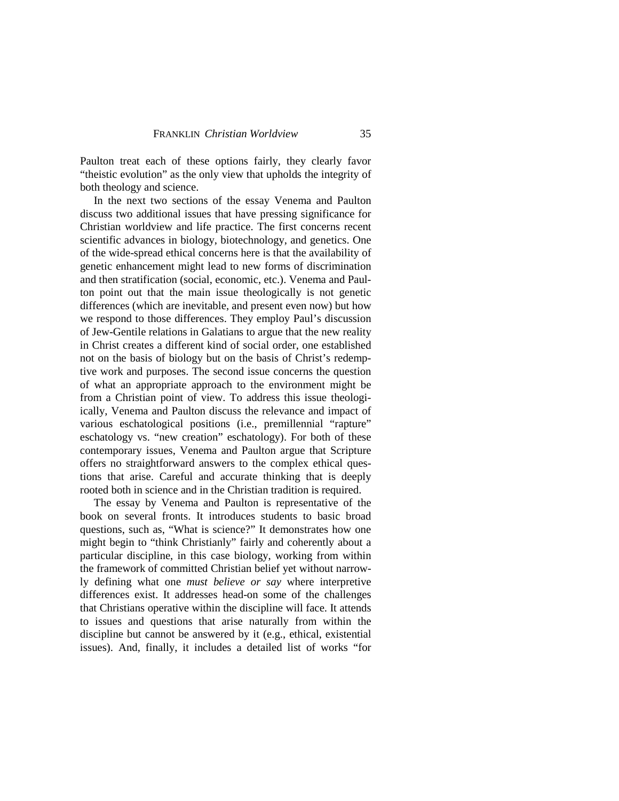Paulton treat each of these options fairly, they clearly favor "theistic evolution" as the only view that upholds the integrity of both theology and science.

In the next two sections of the essay Venema and Paulton discuss two additional issues that have pressing significance for Christian worldview and life practice. The first concerns recent scientific advances in biology, biotechnology, and genetics. One of the wide-spread ethical concerns here is that the availability of genetic enhancement might lead to new forms of discrimination and then stratification (social, economic, etc.). Venema and Paulton point out that the main issue theologically is not genetic differences (which are inevitable, and present even now) but how we respond to those differences. They employ Paul's discussion of Jew-Gentile relations in Galatians to argue that the new reality in Christ creates a different kind of social order, one established not on the basis of biology but on the basis of Christ's redemptive work and purposes. The second issue concerns the question of what an appropriate approach to the environment might be from a Christian point of view. To address this issue theologiically, Venema and Paulton discuss the relevance and impact of various eschatological positions (i.e., premillennial "rapture" eschatology vs. "new creation" eschatology). For both of these contemporary issues, Venema and Paulton argue that Scripture offers no straightforward answers to the complex ethical questions that arise. Careful and accurate thinking that is deeply rooted both in science and in the Christian tradition is required.

The essay by Venema and Paulton is representative of the book on several fronts. It introduces students to basic broad questions, such as, "What is science?" It demonstrates how one might begin to "think Christianly" fairly and coherently about a particular discipline, in this case biology, working from within the framework of committed Christian belief yet without narrowly defining what one *must believe or say* where interpretive differences exist. It addresses head-on some of the challenges that Christians operative within the discipline will face. It attends to issues and questions that arise naturally from within the discipline but cannot be answered by it (e.g., ethical, existential issues). And, finally, it includes a detailed list of works "for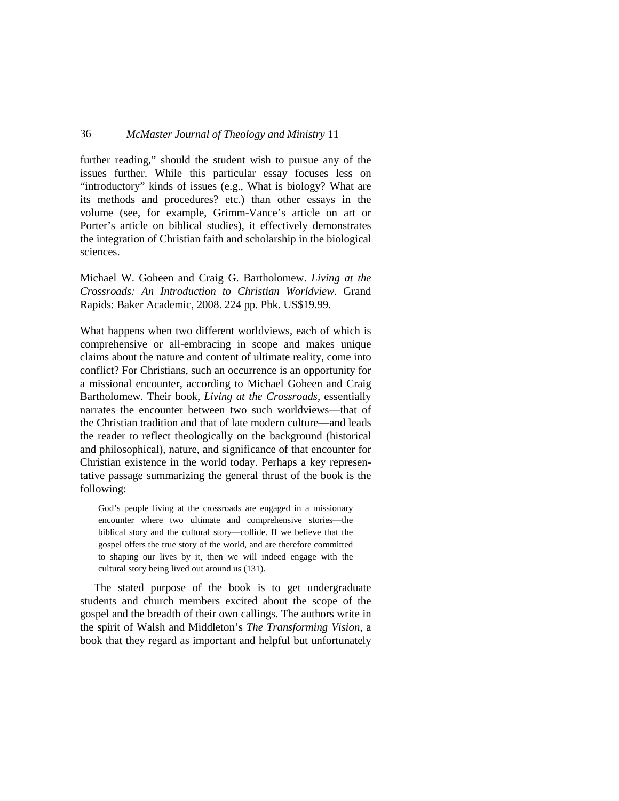further reading," should the student wish to pursue any of the issues further. While this particular essay focuses less on "introductory" kinds of issues (e.g., What is biology? What are its methods and procedures? etc.) than other essays in the volume (see, for example, Grimm-Vance's article on art or Porter's article on biblical studies), it effectively demonstrates the integration of Christian faith and scholarship in the biological sciences.

Michael W. Goheen and Craig G. Bartholomew. *Living at the Crossroads: An Introduction to Christian Worldview*. Grand Rapids: Baker Academic, 2008. 224 pp. Pbk. US\$19.99.

What happens when two different worldviews, each of which is comprehensive or all-embracing in scope and makes unique claims about the nature and content of ultimate reality, come into conflict? For Christians, such an occurrence is an opportunity for a missional encounter, according to Michael Goheen and Craig Bartholomew. Their book, *Living at the Crossroads*, essentially narrates the encounter between two such worldviews—that of the Christian tradition and that of late modern culture—and leads the reader to reflect theologically on the background (historical and philosophical), nature, and significance of that encounter for Christian existence in the world today. Perhaps a key representative passage summarizing the general thrust of the book is the following:

God's people living at the crossroads are engaged in a missionary encounter where two ultimate and comprehensive stories—the biblical story and the cultural story—collide. If we believe that the gospel offers the true story of the world, and are therefore committed to shaping our lives by it, then we will indeed engage with the cultural story being lived out around us (131).

The stated purpose of the book is to get undergraduate students and church members excited about the scope of the gospel and the breadth of their own callings. The authors write in the spirit of Walsh and Middleton's *The Transforming Vision*, a book that they regard as important and helpful but unfortunately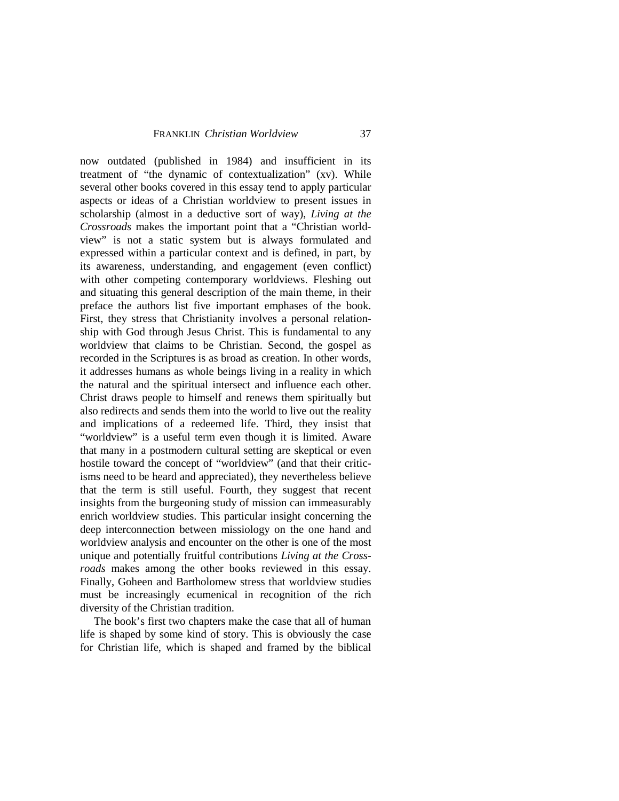now outdated (published in 1984) and insufficient in its treatment of "the dynamic of contextualization" (xv). While several other books covered in this essay tend to apply particular aspects or ideas of a Christian worldview to present issues in scholarship (almost in a deductive sort of way), *Living at the Crossroads* makes the important point that a "Christian worldview" is not a static system but is always formulated and expressed within a particular context and is defined, in part, by its awareness, understanding, and engagement (even conflict) with other competing contemporary worldviews. Fleshing out and situating this general description of the main theme, in their preface the authors list five important emphases of the book. First, they stress that Christianity involves a personal relationship with God through Jesus Christ. This is fundamental to any worldview that claims to be Christian. Second, the gospel as recorded in the Scriptures is as broad as creation. In other words, it addresses humans as whole beings living in a reality in which the natural and the spiritual intersect and influence each other. Christ draws people to himself and renews them spiritually but also redirects and sends them into the world to live out the reality and implications of a redeemed life. Third, they insist that "worldview" is a useful term even though it is limited. Aware that many in a postmodern cultural setting are skeptical or even hostile toward the concept of "worldview" (and that their criticisms need to be heard and appreciated), they nevertheless believe that the term is still useful. Fourth, they suggest that recent insights from the burgeoning study of mission can immeasurably enrich worldview studies. This particular insight concerning the deep interconnection between missiology on the one hand and worldview analysis and encounter on the other is one of the most unique and potentially fruitful contributions *Living at the Crossroads* makes among the other books reviewed in this essay. Finally, Goheen and Bartholomew stress that worldview studies must be increasingly ecumenical in recognition of the rich diversity of the Christian tradition.

The book's first two chapters make the case that all of human life is shaped by some kind of story. This is obviously the case for Christian life, which is shaped and framed by the biblical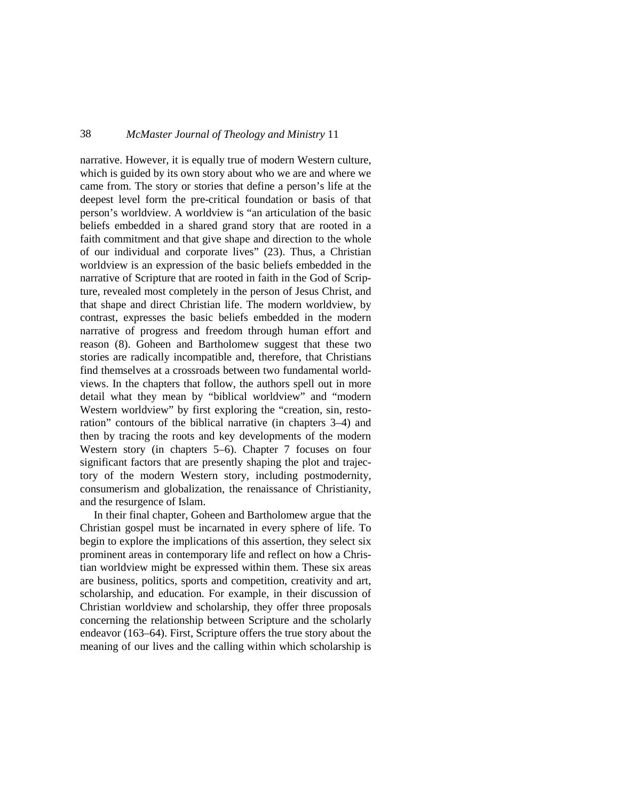narrative. However, it is equally true of modern Western culture, which is guided by its own story about who we are and where we came from. The story or stories that define a person's life at the deepest level form the pre-critical foundation or basis of that person's worldview. A worldview is "an articulation of the basic beliefs embedded in a shared grand story that are rooted in a faith commitment and that give shape and direction to the whole of our individual and corporate lives" (23). Thus, a Christian worldview is an expression of the basic beliefs embedded in the narrative of Scripture that are rooted in faith in the God of Scripture, revealed most completely in the person of Jesus Christ, and that shape and direct Christian life. The modern worldview, by contrast, expresses the basic beliefs embedded in the modern narrative of progress and freedom through human effort and reason (8). Goheen and Bartholomew suggest that these two stories are radically incompatible and, therefore, that Christians find themselves at a crossroads between two fundamental worldviews. In the chapters that follow, the authors spell out in more detail what they mean by "biblical worldview" and "modern Western worldview" by first exploring the "creation, sin, restoration" contours of the biblical narrative (in chapters 3–4) and then by tracing the roots and key developments of the modern Western story (in chapters 5–6). Chapter 7 focuses on four significant factors that are presently shaping the plot and trajectory of the modern Western story, including postmodernity, consumerism and globalization, the renaissance of Christianity, and the resurgence of Islam.

In their final chapter, Goheen and Bartholomew argue that the Christian gospel must be incarnated in every sphere of life. To begin to explore the implications of this assertion, they select six prominent areas in contemporary life and reflect on how a Christian worldview might be expressed within them. These six areas are business, politics, sports and competition, creativity and art, scholarship, and education. For example, in their discussion of Christian worldview and scholarship, they offer three proposals concerning the relationship between Scripture and the scholarly endeavor (163–64). First, Scripture offers the true story about the meaning of our lives and the calling within which scholarship is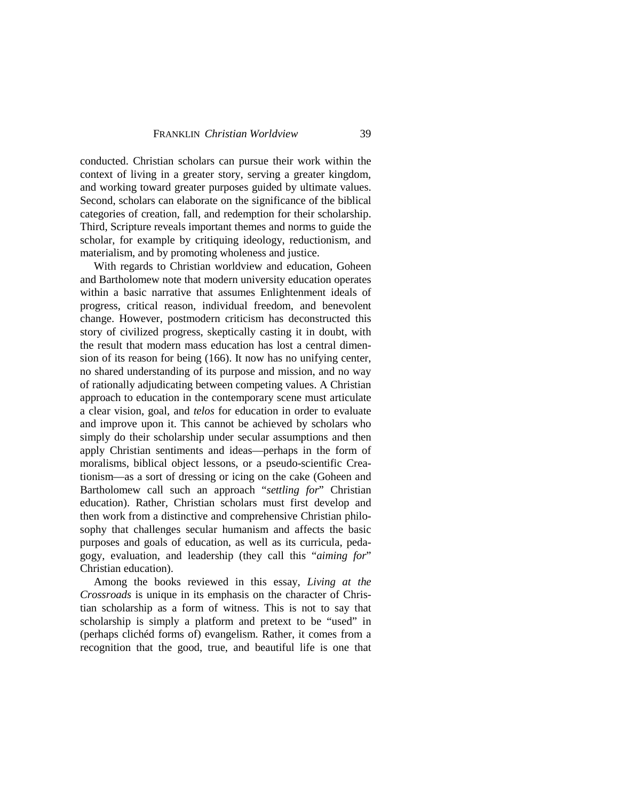conducted. Christian scholars can pursue their work within the context of living in a greater story, serving a greater kingdom, and working toward greater purposes guided by ultimate values. Second, scholars can elaborate on the significance of the biblical categories of creation, fall, and redemption for their scholarship. Third, Scripture reveals important themes and norms to guide the scholar, for example by critiquing ideology, reductionism, and materialism, and by promoting wholeness and justice.

With regards to Christian worldview and education, Goheen and Bartholomew note that modern university education operates within a basic narrative that assumes Enlightenment ideals of progress, critical reason, individual freedom, and benevolent change. However, postmodern criticism has deconstructed this story of civilized progress, skeptically casting it in doubt, with the result that modern mass education has lost a central dimension of its reason for being (166). It now has no unifying center, no shared understanding of its purpose and mission, and no way of rationally adjudicating between competing values. A Christian approach to education in the contemporary scene must articulate a clear vision, goal, and *telos* for education in order to evaluate and improve upon it. This cannot be achieved by scholars who simply do their scholarship under secular assumptions and then apply Christian sentiments and ideas—perhaps in the form of moralisms, biblical object lessons, or a pseudo-scientific Creationism—as a sort of dressing or icing on the cake (Goheen and Bartholomew call such an approach "*settling for*" Christian education). Rather, Christian scholars must first develop and then work from a distinctive and comprehensive Christian philosophy that challenges secular humanism and affects the basic purposes and goals of education, as well as its curricula, pedagogy, evaluation, and leadership (they call this "*aiming for*" Christian education).

Among the books reviewed in this essay, *Living at the Crossroads* is unique in its emphasis on the character of Christian scholarship as a form of witness. This is not to say that scholarship is simply a platform and pretext to be "used" in (perhaps clichéd forms of) evangelism. Rather, it comes from a recognition that the good, true, and beautiful life is one that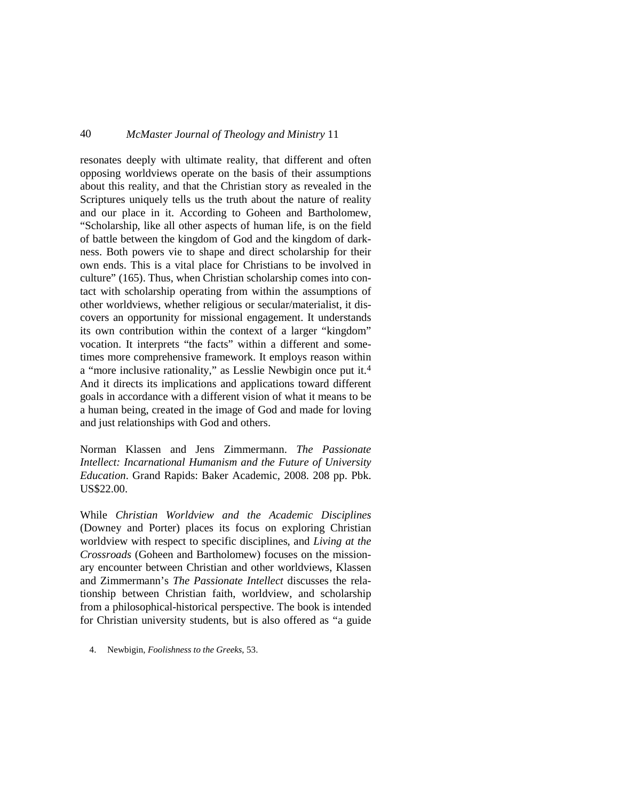resonates deeply with ultimate reality, that different and often opposing worldviews operate on the basis of their assumptions about this reality, and that the Christian story as revealed in the Scriptures uniquely tells us the truth about the nature of reality and our place in it. According to Goheen and Bartholomew, "Scholarship, like all other aspects of human life, is on the field of battle between the kingdom of God and the kingdom of darkness. Both powers vie to shape and direct scholarship for their own ends. This is a vital place for Christians to be involved in culture" (165). Thus, when Christian scholarship comes into contact with scholarship operating from within the assumptions of other worldviews, whether religious or secular/materialist, it discovers an opportunity for missional engagement. It understands its own contribution within the context of a larger "kingdom" vocation. It interprets "the facts" within a different and sometimes more comprehensive framework. It employs reason within a "more inclusive rationality," as Lesslie Newbigin once put it.[4](#page-12-0) And it directs its implications and applications toward different goals in accordance with a different vision of what it means to be a human being, created in the image of God and made for loving and just relationships with God and others.

Norman Klassen and Jens Zimmermann. *The Passionate Intellect: Incarnational Humanism and the Future of University Education*. Grand Rapids: Baker Academic, 2008. 208 pp. Pbk. US\$22.00.

While *Christian Worldview and the Academic Disciplines* (Downey and Porter) places its focus on exploring Christian worldview with respect to specific disciplines, and *Living at the Crossroads* (Goheen and Bartholomew) focuses on the missionary encounter between Christian and other worldviews, Klassen and Zimmermann's *The Passionate Intellect* discusses the relationship between Christian faith, worldview, and scholarship from a philosophical-historical perspective. The book is intended for Christian university students, but is also offered as "a guide

<span id="page-12-0"></span>4. Newbigin, *Foolishness to the Greeks*, 53.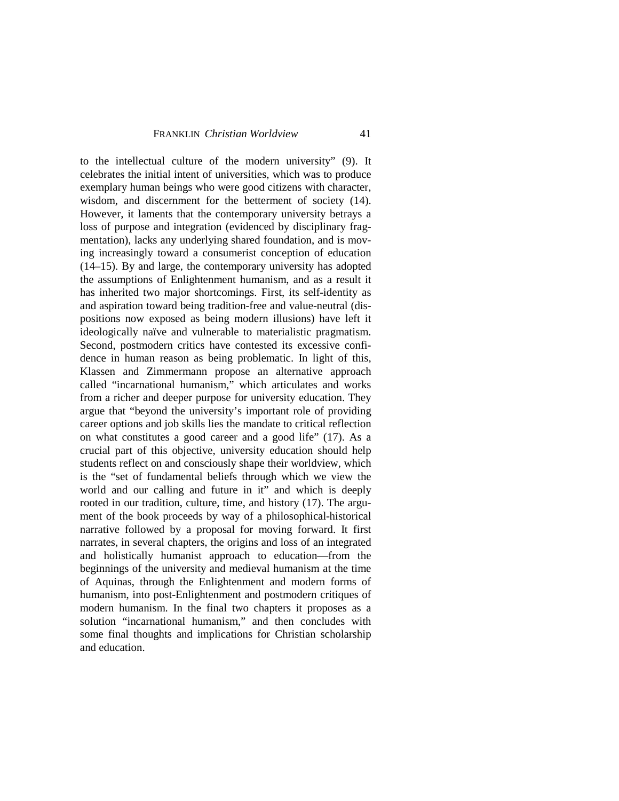to the intellectual culture of the modern university" (9). It celebrates the initial intent of universities, which was to produce exemplary human beings who were good citizens with character, wisdom, and discernment for the betterment of society (14). However, it laments that the contemporary university betrays a loss of purpose and integration (evidenced by disciplinary fragmentation), lacks any underlying shared foundation, and is moving increasingly toward a consumerist conception of education (14–15). By and large, the contemporary university has adopted the assumptions of Enlightenment humanism, and as a result it has inherited two major shortcomings. First, its self-identity as and aspiration toward being tradition-free and value-neutral (dispositions now exposed as being modern illusions) have left it ideologically naïve and vulnerable to materialistic pragmatism. Second, postmodern critics have contested its excessive confidence in human reason as being problematic. In light of this, Klassen and Zimmermann propose an alternative approach called "incarnational humanism," which articulates and works from a richer and deeper purpose for university education. They argue that "beyond the university's important role of providing career options and job skills lies the mandate to critical reflection on what constitutes a good career and a good life" (17). As a crucial part of this objective, university education should help students reflect on and consciously shape their worldview, which is the "set of fundamental beliefs through which we view the world and our calling and future in it" and which is deeply rooted in our tradition, culture, time, and history (17). The argument of the book proceeds by way of a philosophical-historical narrative followed by a proposal for moving forward. It first narrates, in several chapters, the origins and loss of an integrated and holistically humanist approach to education—from the beginnings of the university and medieval humanism at the time of Aquinas, through the Enlightenment and modern forms of humanism, into post-Enlightenment and postmodern critiques of modern humanism. In the final two chapters it proposes as a solution "incarnational humanism," and then concludes with some final thoughts and implications for Christian scholarship and education.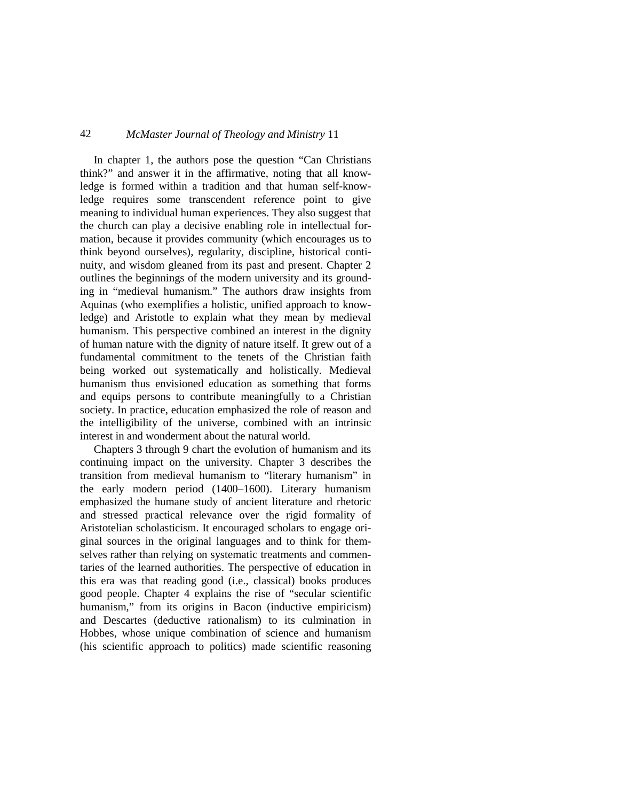In chapter 1, the authors pose the question "Can Christians think?" and answer it in the affirmative, noting that all knowledge is formed within a tradition and that human self-knowledge requires some transcendent reference point to give meaning to individual human experiences. They also suggest that the church can play a decisive enabling role in intellectual formation, because it provides community (which encourages us to think beyond ourselves), regularity, discipline, historical continuity, and wisdom gleaned from its past and present. Chapter 2 outlines the beginnings of the modern university and its grounding in "medieval humanism." The authors draw insights from Aquinas (who exemplifies a holistic, unified approach to knowledge) and Aristotle to explain what they mean by medieval humanism. This perspective combined an interest in the dignity of human nature with the dignity of nature itself. It grew out of a fundamental commitment to the tenets of the Christian faith being worked out systematically and holistically. Medieval humanism thus envisioned education as something that forms and equips persons to contribute meaningfully to a Christian society. In practice, education emphasized the role of reason and the intelligibility of the universe, combined with an intrinsic interest in and wonderment about the natural world.

Chapters 3 through 9 chart the evolution of humanism and its continuing impact on the university. Chapter 3 describes the transition from medieval humanism to "literary humanism" in the early modern period (1400–1600). Literary humanism emphasized the humane study of ancient literature and rhetoric and stressed practical relevance over the rigid formality of Aristotelian scholasticism. It encouraged scholars to engage original sources in the original languages and to think for themselves rather than relying on systematic treatments and commentaries of the learned authorities. The perspective of education in this era was that reading good (i.e., classical) books produces good people. Chapter 4 explains the rise of "secular scientific humanism," from its origins in Bacon (inductive empiricism) and Descartes (deductive rationalism) to its culmination in Hobbes, whose unique combination of science and humanism (his scientific approach to politics) made scientific reasoning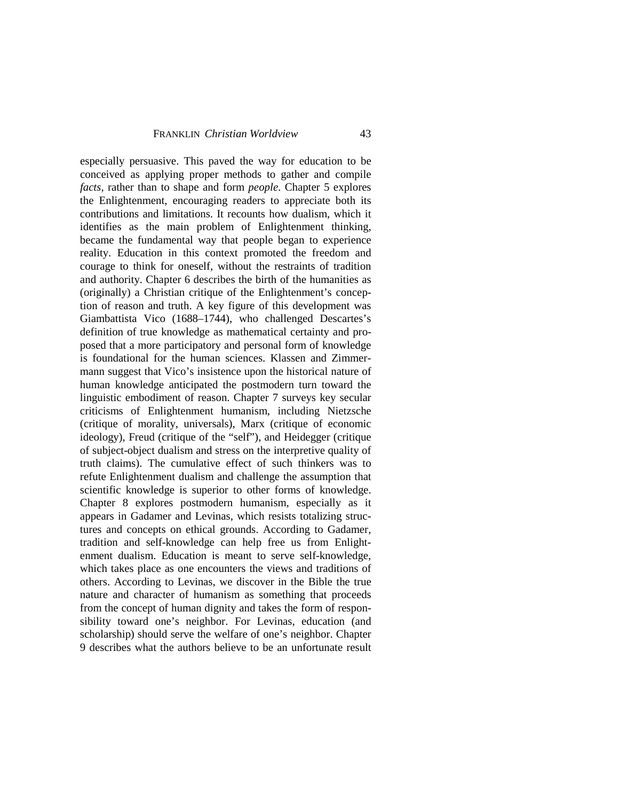especially persuasive. This paved the way for education to be conceived as applying proper methods to gather and compile *facts*, rather than to shape and form *people*. Chapter 5 explores the Enlightenment, encouraging readers to appreciate both its contributions and limitations. It recounts how dualism, which it identifies as the main problem of Enlightenment thinking, became the fundamental way that people began to experience reality. Education in this context promoted the freedom and courage to think for oneself, without the restraints of tradition and authority. Chapter 6 describes the birth of the humanities as (originally) a Christian critique of the Enlightenment's conception of reason and truth. A key figure of this development was Giambattista Vico (1688–1744), who challenged Descartes's definition of true knowledge as mathematical certainty and proposed that a more participatory and personal form of knowledge is foundational for the human sciences. Klassen and Zimmermann suggest that Vico's insistence upon the historical nature of human knowledge anticipated the postmodern turn toward the linguistic embodiment of reason. Chapter 7 surveys key secular criticisms of Enlightenment humanism, including Nietzsche (critique of morality, universals), Marx (critique of economic ideology), Freud (critique of the "self"), and Heidegger (critique of subject-object dualism and stress on the interpretive quality of truth claims). The cumulative effect of such thinkers was to refute Enlightenment dualism and challenge the assumption that scientific knowledge is superior to other forms of knowledge. Chapter 8 explores postmodern humanism, especially as it appears in Gadamer and Levinas, which resists totalizing structures and concepts on ethical grounds. According to Gadamer, tradition and self-knowledge can help free us from Enlightenment dualism. Education is meant to serve self-knowledge, which takes place as one encounters the views and traditions of others. According to Levinas, we discover in the Bible the true nature and character of humanism as something that proceeds from the concept of human dignity and takes the form of responsibility toward one's neighbor. For Levinas, education (and scholarship) should serve the welfare of one's neighbor. Chapter 9 describes what the authors believe to be an unfortunate result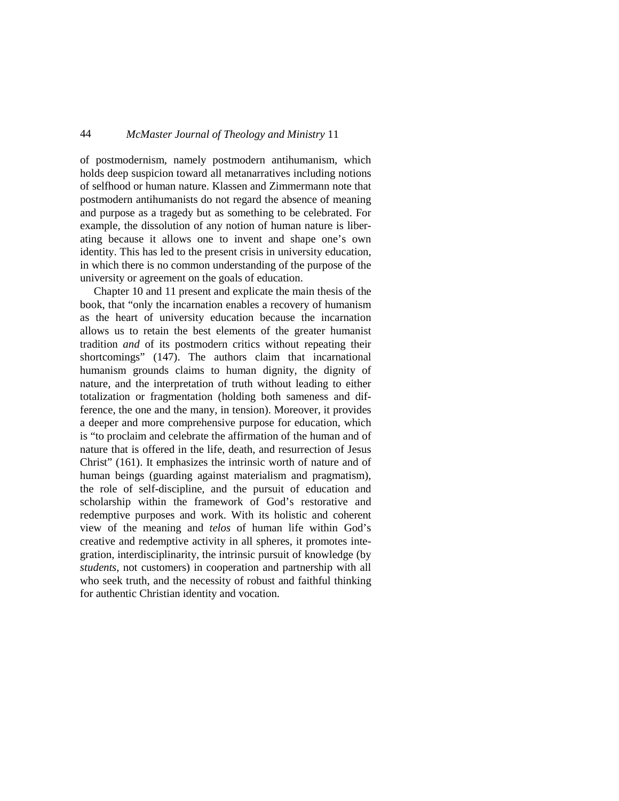of postmodernism, namely postmodern antihumanism, which holds deep suspicion toward all metanarratives including notions of selfhood or human nature. Klassen and Zimmermann note that postmodern antihumanists do not regard the absence of meaning and purpose as a tragedy but as something to be celebrated. For example, the dissolution of any notion of human nature is liberating because it allows one to invent and shape one's own identity. This has led to the present crisis in university education, in which there is no common understanding of the purpose of the university or agreement on the goals of education.

Chapter 10 and 11 present and explicate the main thesis of the book, that "only the incarnation enables a recovery of humanism as the heart of university education because the incarnation allows us to retain the best elements of the greater humanist tradition *and* of its postmodern critics without repeating their shortcomings" (147). The authors claim that incarnational humanism grounds claims to human dignity, the dignity of nature, and the interpretation of truth without leading to either totalization or fragmentation (holding both sameness and difference, the one and the many, in tension). Moreover, it provides a deeper and more comprehensive purpose for education, which is "to proclaim and celebrate the affirmation of the human and of nature that is offered in the life, death, and resurrection of Jesus Christ" (161). It emphasizes the intrinsic worth of nature and of human beings (guarding against materialism and pragmatism), the role of self-discipline, and the pursuit of education and scholarship within the framework of God's restorative and redemptive purposes and work. With its holistic and coherent view of the meaning and *telos* of human life within God's creative and redemptive activity in all spheres, it promotes integration, interdisciplinarity, the intrinsic pursuit of knowledge (by *students*, not customers) in cooperation and partnership with all who seek truth, and the necessity of robust and faithful thinking for authentic Christian identity and vocation.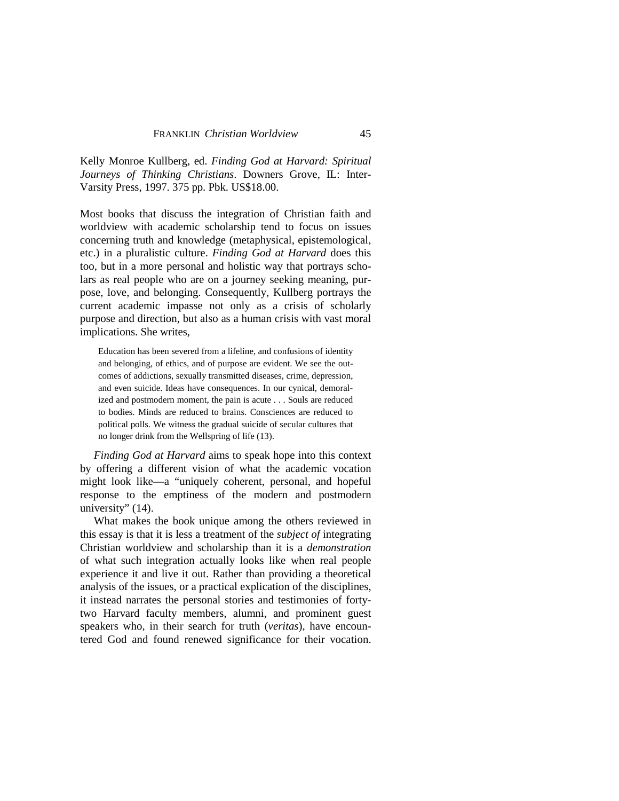Kelly Monroe Kullberg, ed. *Finding God at Harvard: Spiritual Journeys of Thinking Christians*. Downers Grove, IL: Inter-Varsity Press, 1997. 375 pp. Pbk. US\$18.00.

Most books that discuss the integration of Christian faith and worldview with academic scholarship tend to focus on issues concerning truth and knowledge (metaphysical, epistemological, etc.) in a pluralistic culture. *Finding God at Harvard* does this too, but in a more personal and holistic way that portrays scholars as real people who are on a journey seeking meaning, purpose, love, and belonging. Consequently, Kullberg portrays the current academic impasse not only as a crisis of scholarly purpose and direction, but also as a human crisis with vast moral implications. She writes,

Education has been severed from a lifeline, and confusions of identity and belonging, of ethics, and of purpose are evident. We see the outcomes of addictions, sexually transmitted diseases, crime, depression, and even suicide. Ideas have consequences. In our cynical, demoralized and postmodern moment, the pain is acute . . . Souls are reduced to bodies. Minds are reduced to brains. Consciences are reduced to political polls. We witness the gradual suicide of secular cultures that no longer drink from the Wellspring of life (13).

*Finding God at Harvard* aims to speak hope into this context by offering a different vision of what the academic vocation might look like—a "uniquely coherent, personal, and hopeful response to the emptiness of the modern and postmodern university" (14).

What makes the book unique among the others reviewed in this essay is that it is less a treatment of the *subject of* integrating Christian worldview and scholarship than it is a *demonstration* of what such integration actually looks like when real people experience it and live it out. Rather than providing a theoretical analysis of the issues, or a practical explication of the disciplines, it instead narrates the personal stories and testimonies of fortytwo Harvard faculty members, alumni, and prominent guest speakers who, in their search for truth (*veritas*), have encountered God and found renewed significance for their vocation.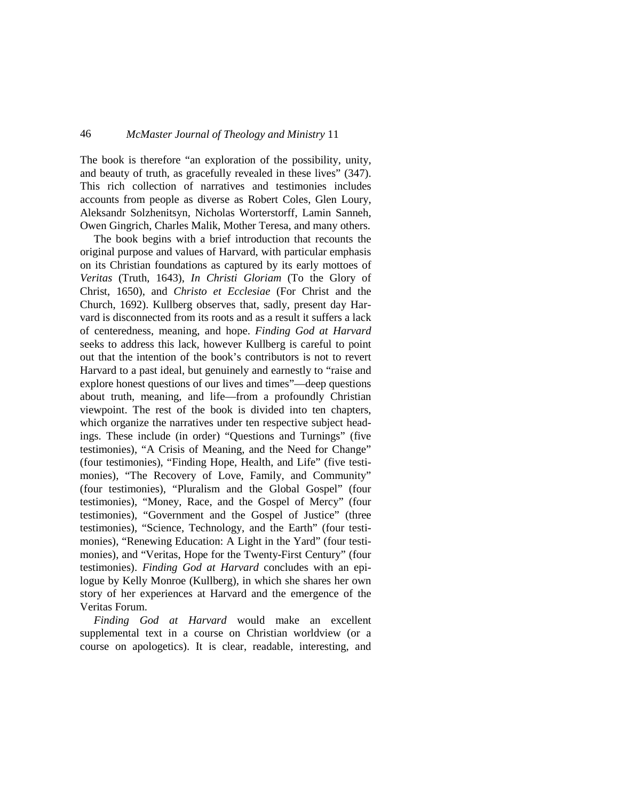The book is therefore "an exploration of the possibility, unity, and beauty of truth, as gracefully revealed in these lives" (347). This rich collection of narratives and testimonies includes accounts from people as diverse as Robert Coles, Glen Loury, Aleksandr Solzhenitsyn, Nicholas Worterstorff, Lamin Sanneh, Owen Gingrich, Charles Malik, Mother Teresa, and many others.

The book begins with a brief introduction that recounts the original purpose and values of Harvard, with particular emphasis on its Christian foundations as captured by its early mottoes of *Veritas* (Truth, 1643), *In Christi Gloriam* (To the Glory of Christ, 1650), and *Christo et Ecclesiae* (For Christ and the Church, 1692). Kullberg observes that, sadly, present day Harvard is disconnected from its roots and as a result it suffers a lack of centeredness, meaning, and hope. *Finding God at Harvard* seeks to address this lack, however Kullberg is careful to point out that the intention of the book's contributors is not to revert Harvard to a past ideal, but genuinely and earnestly to "raise and explore honest questions of our lives and times"—deep questions about truth, meaning, and life—from a profoundly Christian viewpoint. The rest of the book is divided into ten chapters, which organize the narratives under ten respective subject headings. These include (in order) "Questions and Turnings" (five testimonies), "A Crisis of Meaning, and the Need for Change" (four testimonies), "Finding Hope, Health, and Life" (five testimonies), "The Recovery of Love, Family, and Community" (four testimonies), "Pluralism and the Global Gospel" (four testimonies), "Money, Race, and the Gospel of Mercy" (four testimonies), "Government and the Gospel of Justice" (three testimonies), "Science, Technology, and the Earth" (four testimonies), "Renewing Education: A Light in the Yard" (four testimonies), and "Veritas, Hope for the Twenty-First Century" (four testimonies). *Finding God at Harvard* concludes with an epilogue by Kelly Monroe (Kullberg), in which she shares her own story of her experiences at Harvard and the emergence of the Veritas Forum.

*Finding God at Harvard* would make an excellent supplemental text in a course on Christian worldview (or a course on apologetics). It is clear, readable, interesting, and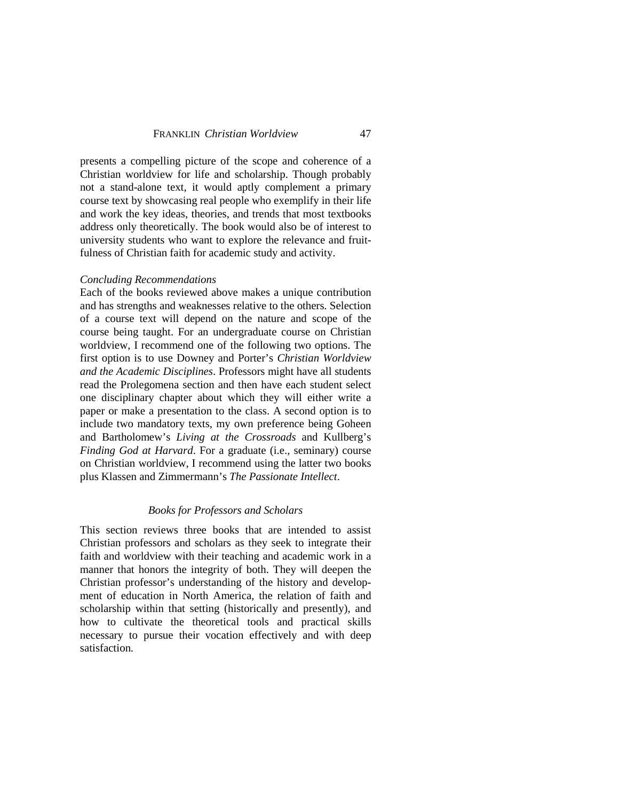presents a compelling picture of the scope and coherence of a Christian worldview for life and scholarship. Though probably not a stand-alone text, it would aptly complement a primary course text by showcasing real people who exemplify in their life and work the key ideas, theories, and trends that most textbooks address only theoretically. The book would also be of interest to university students who want to explore the relevance and fruitfulness of Christian faith for academic study and activity.

#### *Concluding Recommendations*

Each of the books reviewed above makes a unique contribution and has strengths and weaknesses relative to the others. Selection of a course text will depend on the nature and scope of the course being taught. For an undergraduate course on Christian worldview, I recommend one of the following two options. The first option is to use Downey and Porter's *Christian Worldview and the Academic Disciplines*. Professors might have all students read the Prolegomena section and then have each student select one disciplinary chapter about which they will either write a paper or make a presentation to the class. A second option is to include two mandatory texts, my own preference being Goheen and Bartholomew's *Living at the Crossroads* and Kullberg's *Finding God at Harvard*. For a graduate (i.e., seminary) course on Christian worldview, I recommend using the latter two books plus Klassen and Zimmermann's *The Passionate Intellect*.

#### *Books for Professors and Scholars*

This section reviews three books that are intended to assist Christian professors and scholars as they seek to integrate their faith and worldview with their teaching and academic work in a manner that honors the integrity of both. They will deepen the Christian professor's understanding of the history and development of education in North America, the relation of faith and scholarship within that setting (historically and presently), and how to cultivate the theoretical tools and practical skills necessary to pursue their vocation effectively and with deep satisfaction.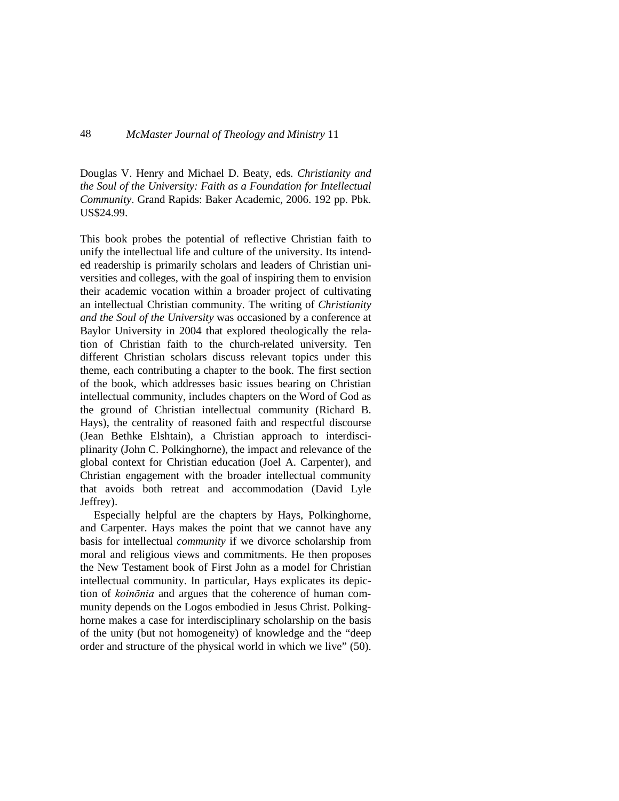Douglas V. Henry and Michael D. Beaty, eds*. Christianity and the Soul of the University: Faith as a Foundation for Intellectual Community*. Grand Rapids: Baker Academic, 2006. 192 pp. Pbk. US\$24.99.

This book probes the potential of reflective Christian faith to unify the intellectual life and culture of the university. Its intended readership is primarily scholars and leaders of Christian universities and colleges, with the goal of inspiring them to envision their academic vocation within a broader project of cultivating an intellectual Christian community. The writing of *Christianity and the Soul of the University* was occasioned by a conference at Baylor University in 2004 that explored theologically the relation of Christian faith to the church-related university. Ten different Christian scholars discuss relevant topics under this theme, each contributing a chapter to the book. The first section of the book, which addresses basic issues bearing on Christian intellectual community, includes chapters on the Word of God as the ground of Christian intellectual community (Richard B. Hays), the centrality of reasoned faith and respectful discourse (Jean Bethke Elshtain), a Christian approach to interdisciplinarity (John C. Polkinghorne), the impact and relevance of the global context for Christian education (Joel A. Carpenter), and Christian engagement with the broader intellectual community that avoids both retreat and accommodation (David Lyle Jeffrey).

Especially helpful are the chapters by Hays, Polkinghorne, and Carpenter. Hays makes the point that we cannot have any basis for intellectual *community* if we divorce scholarship from moral and religious views and commitments. He then proposes the New Testament book of First John as a model for Christian intellectual community. In particular, Hays explicates its depiction of *koinōnia* and argues that the coherence of human community depends on the Logos embodied in Jesus Christ. Polkinghorne makes a case for interdisciplinary scholarship on the basis of the unity (but not homogeneity) of knowledge and the "deep order and structure of the physical world in which we live" (50).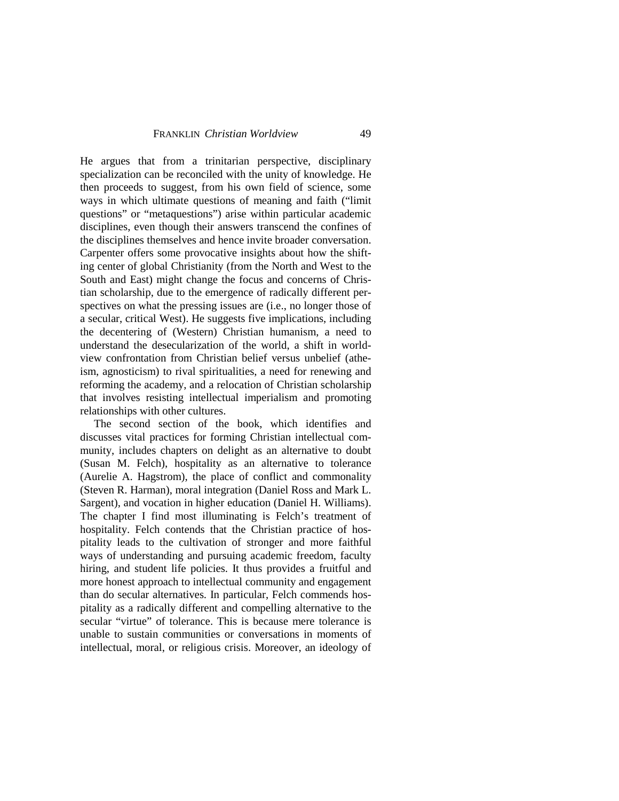He argues that from a trinitarian perspective, disciplinary specialization can be reconciled with the unity of knowledge. He then proceeds to suggest, from his own field of science, some ways in which ultimate questions of meaning and faith ("limit questions" or "metaquestions") arise within particular academic disciplines, even though their answers transcend the confines of the disciplines themselves and hence invite broader conversation. Carpenter offers some provocative insights about how the shifting center of global Christianity (from the North and West to the South and East) might change the focus and concerns of Christian scholarship, due to the emergence of radically different perspectives on what the pressing issues are (i.e., no longer those of a secular, critical West). He suggests five implications, including the decentering of (Western) Christian humanism, a need to understand the desecularization of the world, a shift in worldview confrontation from Christian belief versus unbelief (atheism, agnosticism) to rival spiritualities, a need for renewing and reforming the academy, and a relocation of Christian scholarship that involves resisting intellectual imperialism and promoting relationships with other cultures.

The second section of the book, which identifies and discusses vital practices for forming Christian intellectual community, includes chapters on delight as an alternative to doubt (Susan M. Felch), hospitality as an alternative to tolerance (Aurelie A. Hagstrom), the place of conflict and commonality (Steven R. Harman), moral integration (Daniel Ross and Mark L. Sargent), and vocation in higher education (Daniel H. Williams). The chapter I find most illuminating is Felch's treatment of hospitality. Felch contends that the Christian practice of hospitality leads to the cultivation of stronger and more faithful ways of understanding and pursuing academic freedom, faculty hiring, and student life policies. It thus provides a fruitful and more honest approach to intellectual community and engagement than do secular alternatives. In particular, Felch commends hospitality as a radically different and compelling alternative to the secular "virtue" of tolerance. This is because mere tolerance is unable to sustain communities or conversations in moments of intellectual, moral, or religious crisis. Moreover, an ideology of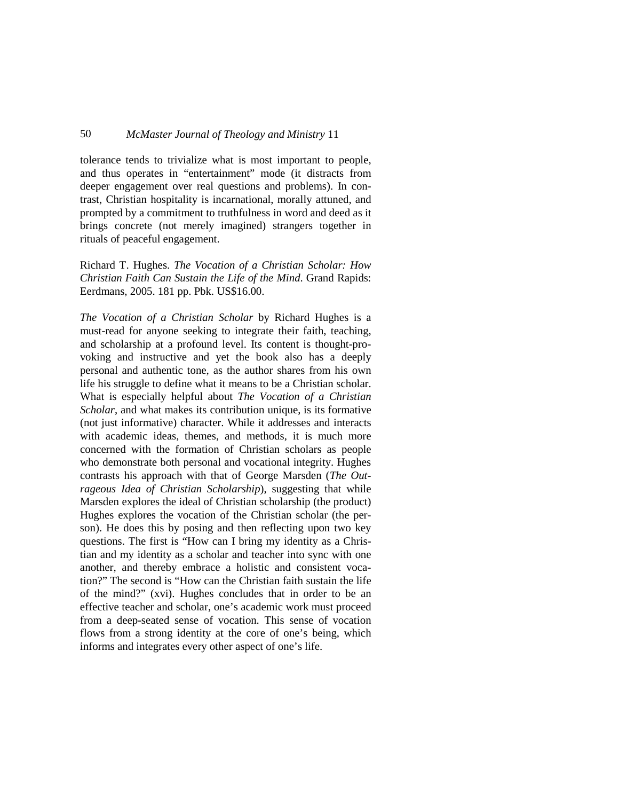tolerance tends to trivialize what is most important to people, and thus operates in "entertainment" mode (it distracts from deeper engagement over real questions and problems). In contrast, Christian hospitality is incarnational, morally attuned, and prompted by a commitment to truthfulness in word and deed as it brings concrete (not merely imagined) strangers together in rituals of peaceful engagement.

Richard T. Hughes. *The Vocation of a Christian Scholar: How Christian Faith Can Sustain the Life of the Mind*. Grand Rapids: Eerdmans, 2005. 181 pp. Pbk. US\$16.00.

*The Vocation of a Christian Scholar* by Richard Hughes is a must-read for anyone seeking to integrate their faith, teaching, and scholarship at a profound level. Its content is thought-provoking and instructive and yet the book also has a deeply personal and authentic tone, as the author shares from his own life his struggle to define what it means to be a Christian scholar. What is especially helpful about *The Vocation of a Christian Scholar*, and what makes its contribution unique, is its formative (not just informative) character. While it addresses and interacts with academic ideas, themes, and methods, it is much more concerned with the formation of Christian scholars as people who demonstrate both personal and vocational integrity. Hughes contrasts his approach with that of George Marsden (*The Outrageous Idea of Christian Scholarship*), suggesting that while Marsden explores the ideal of Christian scholarship (the product) Hughes explores the vocation of the Christian scholar (the person). He does this by posing and then reflecting upon two key questions. The first is "How can I bring my identity as a Christian and my identity as a scholar and teacher into sync with one another, and thereby embrace a holistic and consistent vocation?" The second is "How can the Christian faith sustain the life of the mind?" (xvi). Hughes concludes that in order to be an effective teacher and scholar, one's academic work must proceed from a deep-seated sense of vocation. This sense of vocation flows from a strong identity at the core of one's being, which informs and integrates every other aspect of one's life.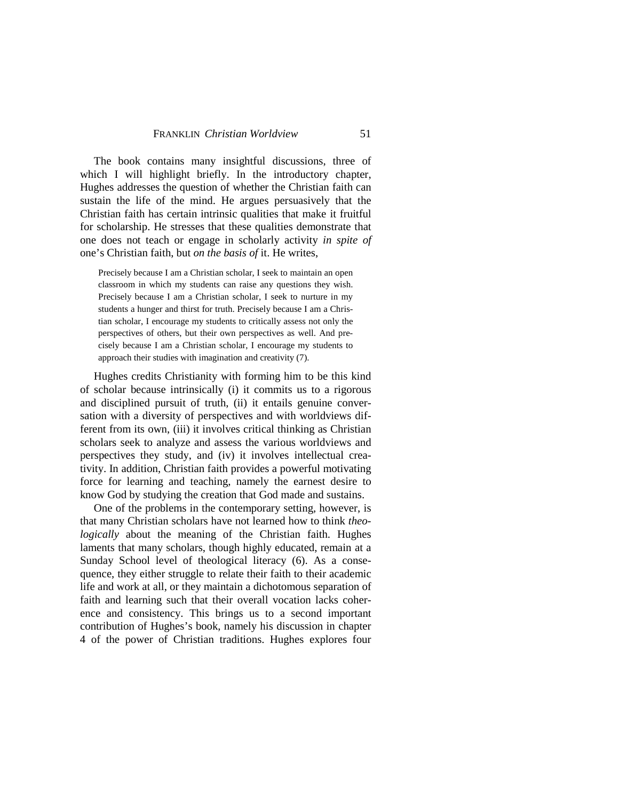The book contains many insightful discussions, three of which I will highlight briefly. In the introductory chapter, Hughes addresses the question of whether the Christian faith can sustain the life of the mind. He argues persuasively that the Christian faith has certain intrinsic qualities that make it fruitful for scholarship. He stresses that these qualities demonstrate that one does not teach or engage in scholarly activity *in spite of* one's Christian faith, but *on the basis of* it. He writes,

Precisely because I am a Christian scholar, I seek to maintain an open classroom in which my students can raise any questions they wish. Precisely because I am a Christian scholar, I seek to nurture in my students a hunger and thirst for truth. Precisely because I am a Christian scholar, I encourage my students to critically assess not only the perspectives of others, but their own perspectives as well. And precisely because I am a Christian scholar, I encourage my students to approach their studies with imagination and creativity (7).

Hughes credits Christianity with forming him to be this kind of scholar because intrinsically (i) it commits us to a rigorous and disciplined pursuit of truth, (ii) it entails genuine conversation with a diversity of perspectives and with worldviews different from its own, (iii) it involves critical thinking as Christian scholars seek to analyze and assess the various worldviews and perspectives they study, and (iv) it involves intellectual creativity. In addition, Christian faith provides a powerful motivating force for learning and teaching, namely the earnest desire to know God by studying the creation that God made and sustains.

One of the problems in the contemporary setting, however, is that many Christian scholars have not learned how to think *theologically* about the meaning of the Christian faith. Hughes laments that many scholars, though highly educated, remain at a Sunday School level of theological literacy (6). As a consequence, they either struggle to relate their faith to their academic life and work at all, or they maintain a dichotomous separation of faith and learning such that their overall vocation lacks coherence and consistency. This brings us to a second important contribution of Hughes's book, namely his discussion in chapter 4 of the power of Christian traditions. Hughes explores four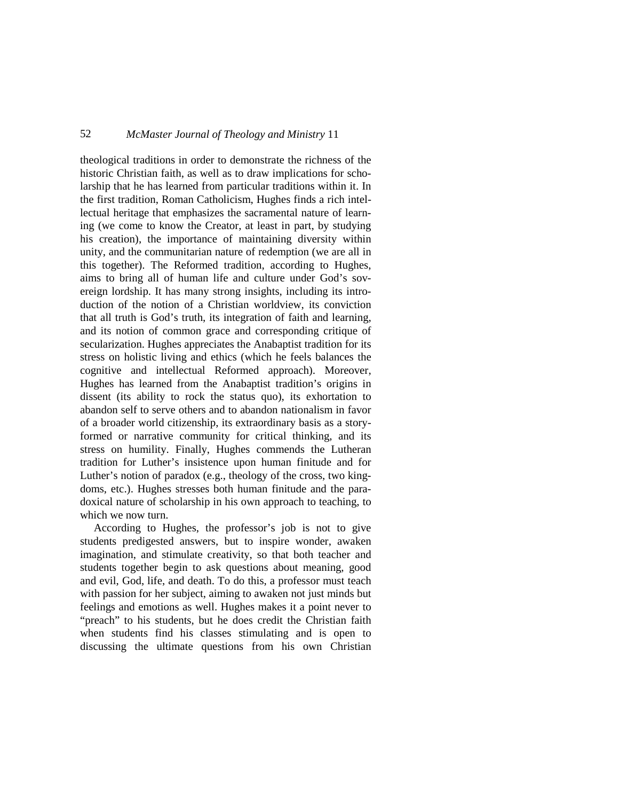theological traditions in order to demonstrate the richness of the historic Christian faith, as well as to draw implications for scholarship that he has learned from particular traditions within it. In the first tradition, Roman Catholicism, Hughes finds a rich intellectual heritage that emphasizes the sacramental nature of learning (we come to know the Creator, at least in part, by studying his creation), the importance of maintaining diversity within unity, and the communitarian nature of redemption (we are all in this together). The Reformed tradition, according to Hughes, aims to bring all of human life and culture under God's sovereign lordship. It has many strong insights, including its introduction of the notion of a Christian worldview, its conviction that all truth is God's truth, its integration of faith and learning, and its notion of common grace and corresponding critique of secularization. Hughes appreciates the Anabaptist tradition for its stress on holistic living and ethics (which he feels balances the cognitive and intellectual Reformed approach). Moreover, Hughes has learned from the Anabaptist tradition's origins in dissent (its ability to rock the status quo), its exhortation to abandon self to serve others and to abandon nationalism in favor of a broader world citizenship, its extraordinary basis as a storyformed or narrative community for critical thinking, and its stress on humility. Finally, Hughes commends the Lutheran tradition for Luther's insistence upon human finitude and for Luther's notion of paradox (e.g., theology of the cross, two kingdoms, etc.). Hughes stresses both human finitude and the paradoxical nature of scholarship in his own approach to teaching, to which we now turn.

According to Hughes, the professor's job is not to give students predigested answers, but to inspire wonder, awaken imagination, and stimulate creativity, so that both teacher and students together begin to ask questions about meaning, good and evil, God, life, and death. To do this, a professor must teach with passion for her subject, aiming to awaken not just minds but feelings and emotions as well. Hughes makes it a point never to "preach" to his students, but he does credit the Christian faith when students find his classes stimulating and is open to discussing the ultimate questions from his own Christian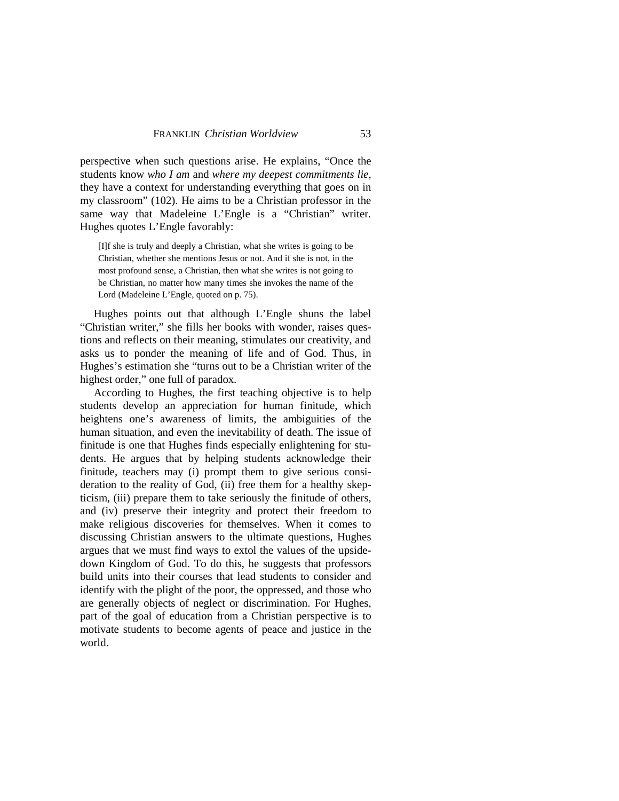perspective when such questions arise. He explains, "Once the students know *who I am* and *where my deepest commitments lie*, they have a context for understanding everything that goes on in my classroom" (102). He aims to be a Christian professor in the same way that Madeleine L'Engle is a "Christian" writer. Hughes quotes L'Engle favorably:

[I]f she is truly and deeply a Christian, what she writes is going to be Christian, whether she mentions Jesus or not. And if she is not, in the most profound sense, a Christian, then what she writes is not going to be Christian, no matter how many times she invokes the name of the Lord (Madeleine L'Engle, quoted on p. 75).

Hughes points out that although L'Engle shuns the label "Christian writer," she fills her books with wonder, raises questions and reflects on their meaning, stimulates our creativity, and asks us to ponder the meaning of life and of God. Thus, in Hughes's estimation she "turns out to be a Christian writer of the highest order," one full of paradox.

According to Hughes, the first teaching objective is to help students develop an appreciation for human finitude, which heightens one's awareness of limits, the ambiguities of the human situation, and even the inevitability of death. The issue of finitude is one that Hughes finds especially enlightening for students. He argues that by helping students acknowledge their finitude, teachers may (i) prompt them to give serious consideration to the reality of God, (ii) free them for a healthy skepticism, (iii) prepare them to take seriously the finitude of others, and (iv) preserve their integrity and protect their freedom to make religious discoveries for themselves. When it comes to discussing Christian answers to the ultimate questions, Hughes argues that we must find ways to extol the values of the upsidedown Kingdom of God. To do this, he suggests that professors build units into their courses that lead students to consider and identify with the plight of the poor, the oppressed, and those who are generally objects of neglect or discrimination. For Hughes, part of the goal of education from a Christian perspective is to motivate students to become agents of peace and justice in the world.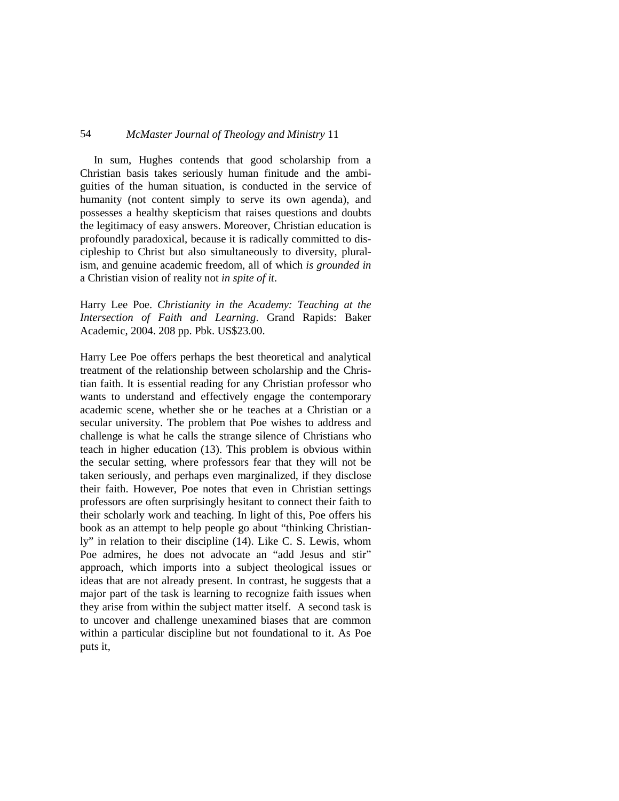In sum, Hughes contends that good scholarship from a Christian basis takes seriously human finitude and the ambiguities of the human situation, is conducted in the service of humanity (not content simply to serve its own agenda), and possesses a healthy skepticism that raises questions and doubts the legitimacy of easy answers. Moreover, Christian education is profoundly paradoxical, because it is radically committed to discipleship to Christ but also simultaneously to diversity, pluralism, and genuine academic freedom, all of which *is grounded in* a Christian vision of reality not *in spite of it*.

# Harry Lee Poe. *Christianity in the Academy: Teaching at the Intersection of Faith and Learning*. Grand Rapids: Baker Academic, 2004. 208 pp. Pbk. US\$23.00.

Harry Lee Poe offers perhaps the best theoretical and analytical treatment of the relationship between scholarship and the Christian faith. It is essential reading for any Christian professor who wants to understand and effectively engage the contemporary academic scene, whether she or he teaches at a Christian or a secular university. The problem that Poe wishes to address and challenge is what he calls the strange silence of Christians who teach in higher education (13). This problem is obvious within the secular setting, where professors fear that they will not be taken seriously, and perhaps even marginalized, if they disclose their faith. However, Poe notes that even in Christian settings professors are often surprisingly hesitant to connect their faith to their scholarly work and teaching. In light of this, Poe offers his book as an attempt to help people go about "thinking Christianly" in relation to their discipline (14). Like C. S. Lewis, whom Poe admires, he does not advocate an "add Jesus and stir" approach, which imports into a subject theological issues or ideas that are not already present. In contrast, he suggests that a major part of the task is learning to recognize faith issues when they arise from within the subject matter itself. A second task is to uncover and challenge unexamined biases that are common within a particular discipline but not foundational to it. As Poe puts it,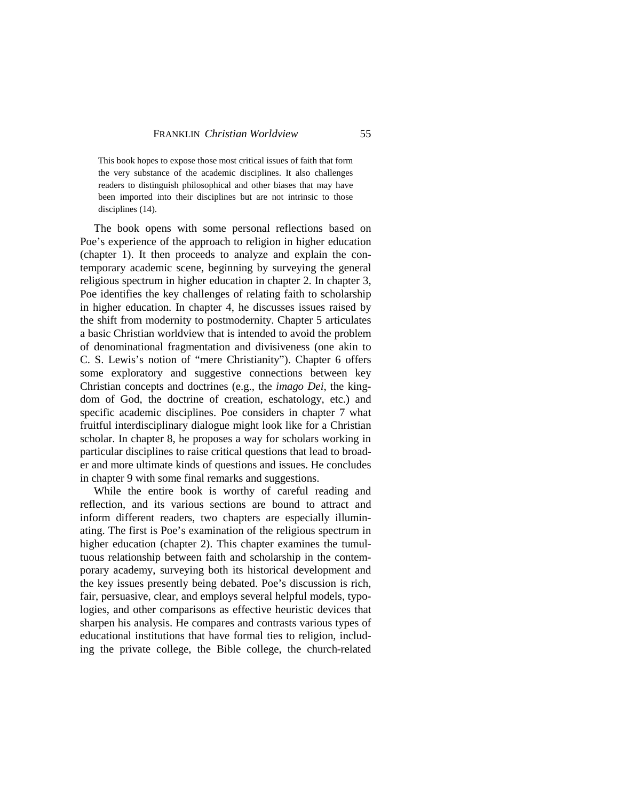This book hopes to expose those most critical issues of faith that form the very substance of the academic disciplines. It also challenges readers to distinguish philosophical and other biases that may have been imported into their disciplines but are not intrinsic to those disciplines (14).

The book opens with some personal reflections based on Poe's experience of the approach to religion in higher education (chapter 1). It then proceeds to analyze and explain the contemporary academic scene, beginning by surveying the general religious spectrum in higher education in chapter 2. In chapter 3, Poe identifies the key challenges of relating faith to scholarship in higher education. In chapter 4, he discusses issues raised by the shift from modernity to postmodernity. Chapter 5 articulates a basic Christian worldview that is intended to avoid the problem of denominational fragmentation and divisiveness (one akin to C. S. Lewis's notion of "mere Christianity"). Chapter 6 offers some exploratory and suggestive connections between key Christian concepts and doctrines (e.g., the *imago Dei*, the kingdom of God, the doctrine of creation, eschatology, etc.) and specific academic disciplines. Poe considers in chapter 7 what fruitful interdisciplinary dialogue might look like for a Christian scholar. In chapter 8, he proposes a way for scholars working in particular disciplines to raise critical questions that lead to broader and more ultimate kinds of questions and issues. He concludes in chapter 9 with some final remarks and suggestions.

While the entire book is worthy of careful reading and reflection, and its various sections are bound to attract and inform different readers, two chapters are especially illuminating. The first is Poe's examination of the religious spectrum in higher education (chapter 2). This chapter examines the tumultuous relationship between faith and scholarship in the contemporary academy, surveying both its historical development and the key issues presently being debated. Poe's discussion is rich, fair, persuasive, clear, and employs several helpful models, typologies, and other comparisons as effective heuristic devices that sharpen his analysis. He compares and contrasts various types of educational institutions that have formal ties to religion, including the private college, the Bible college, the church-related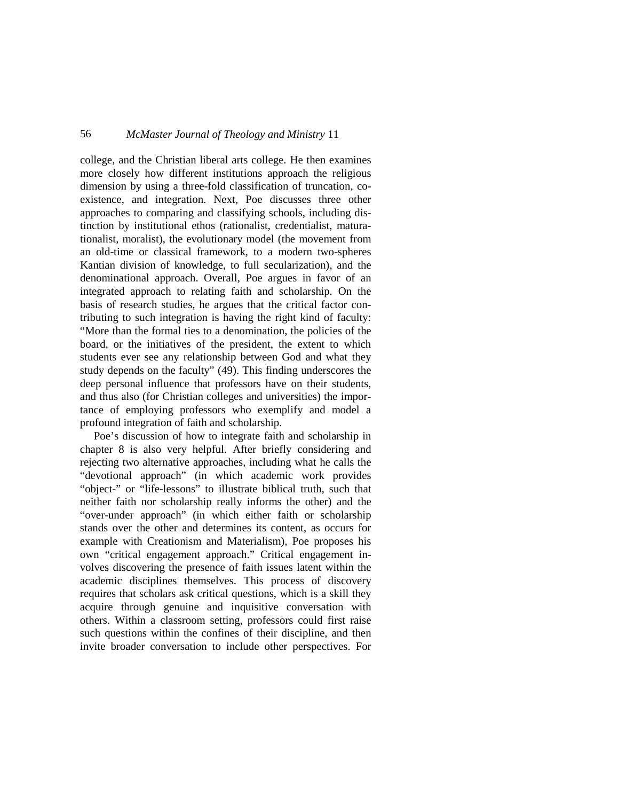college, and the Christian liberal arts college. He then examines more closely how different institutions approach the religious dimension by using a three-fold classification of truncation, coexistence, and integration. Next, Poe discusses three other approaches to comparing and classifying schools, including distinction by institutional ethos (rationalist, credentialist, maturationalist, moralist), the evolutionary model (the movement from an old-time or classical framework, to a modern two-spheres Kantian division of knowledge, to full secularization), and the denominational approach. Overall, Poe argues in favor of an integrated approach to relating faith and scholarship. On the basis of research studies, he argues that the critical factor contributing to such integration is having the right kind of faculty: "More than the formal ties to a denomination, the policies of the board, or the initiatives of the president, the extent to which students ever see any relationship between God and what they study depends on the faculty" (49). This finding underscores the deep personal influence that professors have on their students, and thus also (for Christian colleges and universities) the importance of employing professors who exemplify and model a profound integration of faith and scholarship.

Poe's discussion of how to integrate faith and scholarship in chapter 8 is also very helpful. After briefly considering and rejecting two alternative approaches, including what he calls the "devotional approach" (in which academic work provides "object-" or "life-lessons" to illustrate biblical truth, such that neither faith nor scholarship really informs the other) and the "over-under approach" (in which either faith or scholarship stands over the other and determines its content, as occurs for example with Creationism and Materialism), Poe proposes his own "critical engagement approach." Critical engagement involves discovering the presence of faith issues latent within the academic disciplines themselves. This process of discovery requires that scholars ask critical questions, which is a skill they acquire through genuine and inquisitive conversation with others. Within a classroom setting, professors could first raise such questions within the confines of their discipline, and then invite broader conversation to include other perspectives. For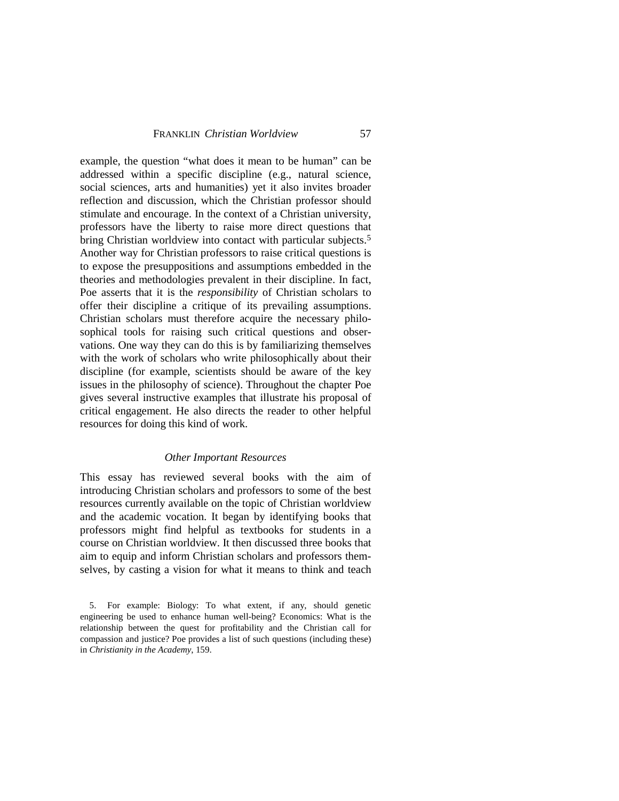example, the question "what does it mean to be human" can be addressed within a specific discipline (e.g., natural science, social sciences, arts and humanities) yet it also invites broader reflection and discussion, which the Christian professor should stimulate and encourage. In the context of a Christian university, professors have the liberty to raise more direct questions that bring Christian worldview into contact with particular subjects.[5](#page-29-0) Another way for Christian professors to raise critical questions is to expose the presuppositions and assumptions embedded in the theories and methodologies prevalent in their discipline. In fact, Poe asserts that it is the *responsibility* of Christian scholars to offer their discipline a critique of its prevailing assumptions. Christian scholars must therefore acquire the necessary philosophical tools for raising such critical questions and observations. One way they can do this is by familiarizing themselves with the work of scholars who write philosophically about their discipline (for example, scientists should be aware of the key issues in the philosophy of science). Throughout the chapter Poe gives several instructive examples that illustrate his proposal of critical engagement. He also directs the reader to other helpful resources for doing this kind of work.

### *Other Important Resources*

This essay has reviewed several books with the aim of introducing Christian scholars and professors to some of the best resources currently available on the topic of Christian worldview and the academic vocation. It began by identifying books that professors might find helpful as textbooks for students in a course on Christian worldview. It then discussed three books that aim to equip and inform Christian scholars and professors themselves, by casting a vision for what it means to think and teach

<span id="page-29-0"></span><sup>5.</sup> For example: Biology: To what extent, if any, should genetic engineering be used to enhance human well-being? Economics: What is the relationship between the quest for profitability and the Christian call for compassion and justice? Poe provides a list of such questions (including these) in *Christianity in the Academy*, 159.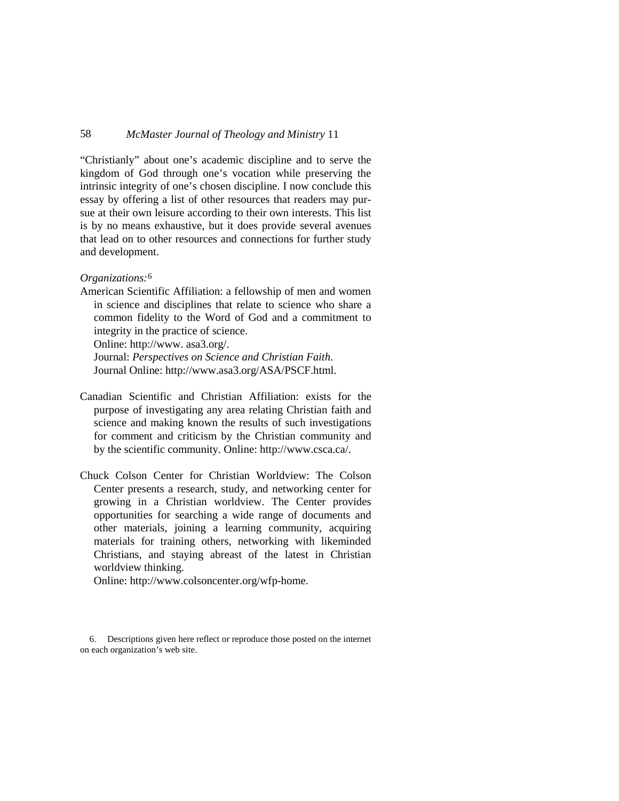"Christianly" about one's academic discipline and to serve the kingdom of God through one's vocation while preserving the intrinsic integrity of one's chosen discipline. I now conclude this essay by offering a list of other resources that readers may pursue at their own leisure according to their own interests. This list is by no means exhaustive, but it does provide several avenues that lead on to other resources and connections for further study and development.

### *Organizations:*[6](#page-30-0)

American Scientific Affiliation: a fellowship of men and women in science and disciplines that relate to science who share a common fidelity to the Word of God and a commitment to integrity in the practice of science.

Online: http://www. asa3.org/.

Journal: *Perspectives on Science and Christian Faith*. Journal Online: http://www.asa3.org/ASA/PSCF.html.

- Canadian Scientific and Christian Affiliation: exists for the purpose of investigating any area relating Christian faith and science and making known the results of such investigations for comment and criticism by the Christian community and by the scientific community. Online: http://www.csca.ca/.
- Chuck Colson Center for Christian Worldview: The Colson Center presents a research, study, and networking center for growing in a Christian worldview. The Center provides opportunities for searching a wide range of documents and other materials, joining a learning community, acquiring materials for training others, networking with likeminded Christians, and staying abreast of the latest in Christian worldview thinking.

Online: http://www.colsoncenter.org/wfp-home.

<span id="page-30-0"></span><sup>6.</sup> Descriptions given here reflect or reproduce those posted on the internet on each organization's web site.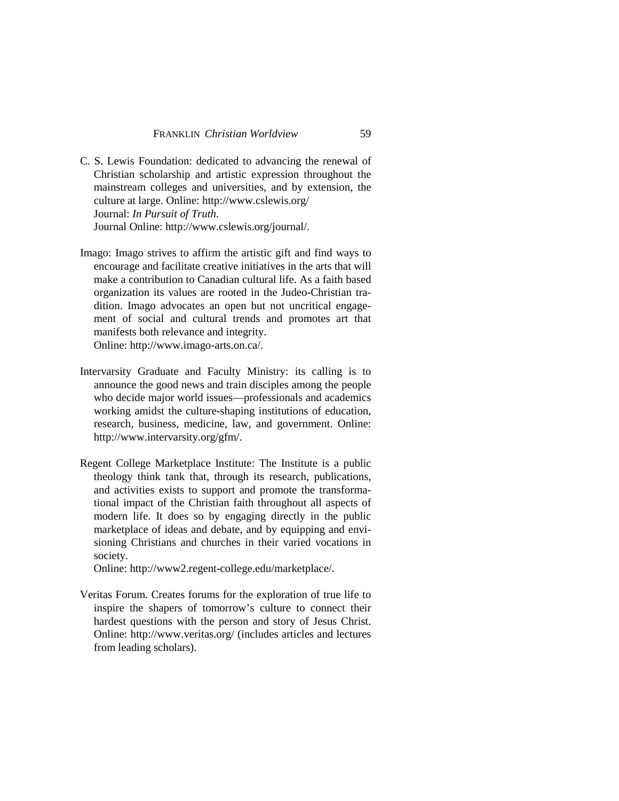- C. S. Lewis Foundation: dedicated to advancing the renewal of Christian scholarship and artistic expression throughout the mainstream colleges and universities, and by extension, the culture at large. Online: http://www.cslewis.org/ Journal: *In Pursuit of Truth*. Journal Online: http://www.cslewis.org/journal/.
- Imago: Imago strives to affirm the artistic gift and find ways to encourage and facilitate creative initiatives in the arts that will make a contribution to Canadian cultural life. As a faith based organization its values are rooted in the Judeo-Christian tradition. Imago advocates an open but not uncritical engagement of social and cultural trends and promotes art that manifests both relevance and integrity. Online: http://www.imago-arts.on.ca/.
- Intervarsity Graduate and Faculty Ministry: its calling is to announce the good news and train disciples among the people who decide major world issues—professionals and academics working amidst the culture-shaping institutions of education, research, business, medicine, law, and government. Online: http://www.intervarsity.org/gfm/.
- Regent College Marketplace Institute: The Institute is a public theology think tank that, through its research, publications, and activities exists to support and promote the transformational impact of the Christian faith throughout all aspects of modern life. It does so by engaging directly in the public marketplace of ideas and debate, and by equipping and envisioning Christians and churches in their varied vocations in society.

Online: http://www2.regent-college.edu/marketplace/.

Veritas Forum. Creates forums for the exploration of true life to inspire the shapers of tomorrow's culture to connect their hardest questions with the person and story of Jesus Christ. Online: http://www.veritas.org/ (includes articles and lectures from leading scholars).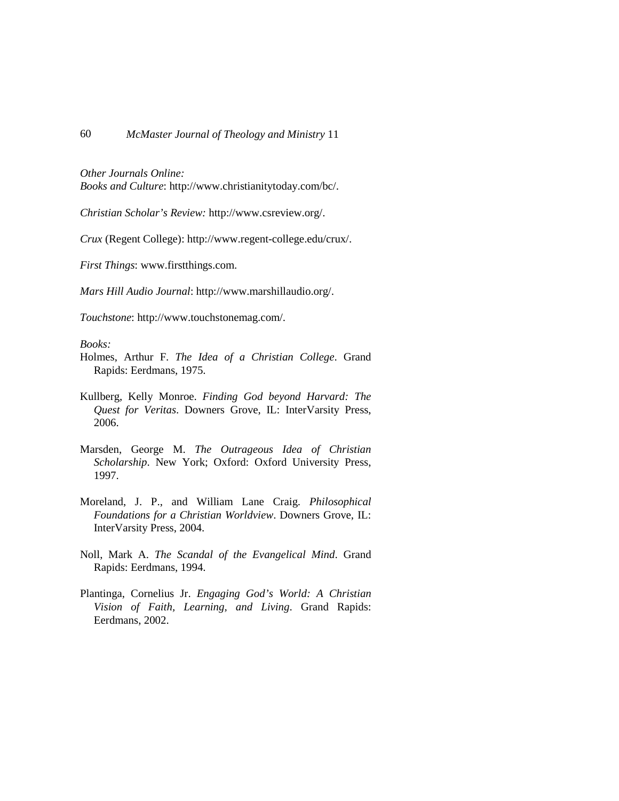*Other Journals Online:*

*Books and Culture*: http://www.christianitytoday.com/bc/.

*Christian Scholar's Review:* http://www.csreview.org/.

*Crux* (Regent College): http://www.regent-college.edu/crux/.

*First Things*: www.firstthings.com.

*Mars Hill Audio Journal*: http://www.marshillaudio.org/.

*Touchstone*: http://www.touchstonemag.com/.

*Books:*

- Holmes, Arthur F. *The Idea of a Christian College*. Grand Rapids: Eerdmans, 1975.
- Kullberg, Kelly Monroe. *Finding God beyond Harvard: The Quest for Veritas*. Downers Grove, IL: InterVarsity Press, 2006.
- Marsden, George M. *The Outrageous Idea of Christian Scholarship*. New York; Oxford: Oxford University Press, 1997.
- Moreland, J. P., and William Lane Craig. *Philosophical Foundations for a Christian Worldview*. Downers Grove, IL: InterVarsity Press, 2004.
- Noll, Mark A. *The Scandal of the Evangelical Mind*. Grand Rapids: Eerdmans, 1994.
- Plantinga, Cornelius Jr. *Engaging God's World: A Christian Vision of Faith, Learning, and Living*. Grand Rapids: Eerdmans, 2002.